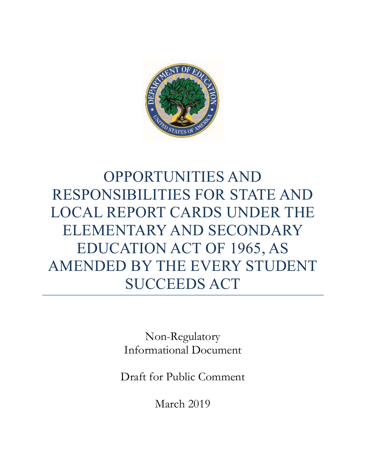

# OPPORTUNITIES AND RESPONSIBILITIES FOR STATE AND LOCAL REPORT CARDS UNDER THE ELEMENTARY AND SECONDARY EDUCATION ACT OF 1965, AS AMENDED BY THE EVERY STUDENT SUCCEEDS ACT

Non-Regulatory Informational Document

Draft for Public Comment

March 2019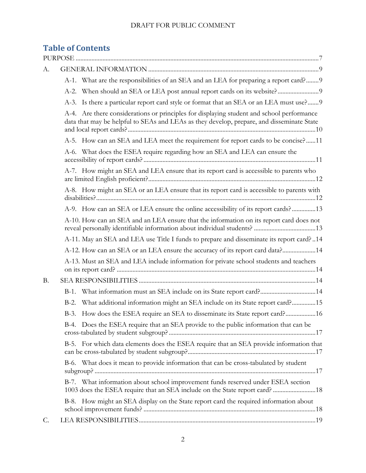# **Table of Contents**

| А.        |         |                                                                                                                                                                                        |
|-----------|---------|----------------------------------------------------------------------------------------------------------------------------------------------------------------------------------------|
|           |         | A-1. What are the responsibilities of an SEA and an LEA for preparing a report card?9                                                                                                  |
|           |         |                                                                                                                                                                                        |
|           |         | A-3. Is there a particular report card style or format that an SEA or an LEA must use? 9                                                                                               |
|           |         | A-4. Are there considerations or principles for displaying student and school performance<br>data that may be helpful to SEAs and LEAs as they develop, prepare, and disseminate State |
|           |         | A-5. How can an SEA and LEA meet the requirement for report cards to be concise?11                                                                                                     |
|           |         | A-6. What does the ESEA require regarding how an SEA and LEA can ensure the                                                                                                            |
|           |         | A-7. How might an SEA and LEA ensure that its report card is accessible to parents who                                                                                                 |
|           |         | A-8. How might an SEA or an LEA ensure that its report card is accessible to parents with                                                                                              |
|           |         | A-9. How can an SEA or LEA ensure the online accessibility of its report cards?13                                                                                                      |
|           |         | A-10. How can an SEA and an LEA ensure that the information on its report card does not                                                                                                |
|           |         | A-11. May an SEA and LEA use Title I funds to prepare and disseminate its report card? 14                                                                                              |
|           |         | A-12. How can an SEA or an LEA ensure the accuracy of its report card data?14                                                                                                          |
|           |         | A-13. Must an SEA and LEA include information for private school students and teachers                                                                                                 |
| <b>B.</b> |         |                                                                                                                                                                                        |
|           | $B-1$ . | What information must an SEA include on its State report card?14                                                                                                                       |
|           | $B-2$ . | What additional information might an SEA include on its State report card?15                                                                                                           |
|           | $B-3$ . | How does the ESEA require an SEA to disseminate its State report card?16                                                                                                               |
|           |         | B-4. Does the ESEA require that an SEA provide to the public information that can be                                                                                                   |
|           |         | B-5. For which data elements does the ESEA require that an SEA provide information that                                                                                                |
|           |         | B-6. What does it mean to provide information that can be cross-tabulated by student                                                                                                   |
|           |         | B-7. What information about school improvement funds reserved under ESEA section<br>1003 does the ESEA require that an SEA include on the State report card?  18                       |
|           |         | B-8. How might an SEA display on the State report card the required information about                                                                                                  |
| C.        |         |                                                                                                                                                                                        |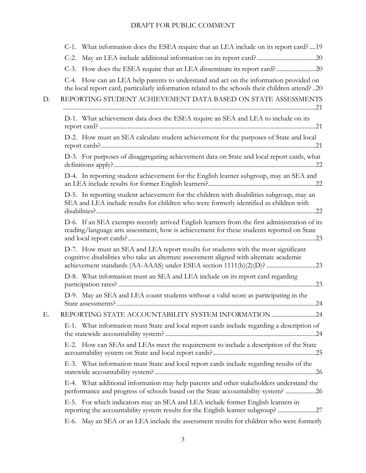|    | C-1. What information does the ESEA require that an LEA include on its report card?  19                                                                                                                                                               |
|----|-------------------------------------------------------------------------------------------------------------------------------------------------------------------------------------------------------------------------------------------------------|
|    | $C-2$ .                                                                                                                                                                                                                                               |
|    | C-3. How does the ESEA require that an LEA disseminate its report card?20                                                                                                                                                                             |
|    | C-4. How can an LEA help parents to understand and act on the information provided on<br>the local report card, particularly information related to the schools their children attend?20                                                              |
| D. | REPORTING STUDENT ACHIEVEMENT DATA BASED ON STATE ASSESSMENTS                                                                                                                                                                                         |
|    | D-1. What achievement data does the ESEA require an SEA and LEA to include on its                                                                                                                                                                     |
|    | D-2. How must an SEA calculate student achievement for the purposes of State and local                                                                                                                                                                |
|    | D-3. For purposes of disaggregating achievement data on State and local report cards, what                                                                                                                                                            |
|    | D-4. In reporting student achievement for the English learner subgroup, may an SEA and                                                                                                                                                                |
|    | D-5. In reporting student achievement for the children with disabilities subgroup, may an<br>SEA and LEA include results for children who were formerly identified as children with                                                                   |
|    | D-6. If an SEA exempts recently arrived English learners from the first administration of its<br>reading/language arts assessment, how is achievement for these students reported on State                                                            |
|    | D-7. How must an SEA and LEA report results for students with the most significant<br>cognitive disabilities who take an alternate assessment aligned with alternate academic<br>achievement standards (AA-AAAS) under ESEA section 1111(b)(2)(D)? 23 |
|    | D-8. What information must an SEA and LEA include on its report card regarding                                                                                                                                                                        |
|    | D-9. May an SEA and LEA count students without a valid score as participating in the                                                                                                                                                                  |
| Ε. | REPORTING STATE ACCOUNTABILITY SYSTEM INFORMATION 24                                                                                                                                                                                                  |
|    | E-1. What information must State and local report cards include regarding a description of                                                                                                                                                            |
|    | E-2. How can SEAs and LEAs meet the requirement to include a description of the State                                                                                                                                                                 |
|    | E-3. What information must State and local report cards include regarding results of the                                                                                                                                                              |
|    | E-4. What additional information may help parents and other stakeholders understand the<br>performance and progress of schools based on the State accountability system? 26                                                                           |
|    | E-5. For which indicators may an SEA and LEA include former English learners in<br>reporting the accountability system results for the English learner subgroup? 27                                                                                   |
|    | E-6. May an SEA or an LEA include the assessment results for children who were formerly                                                                                                                                                               |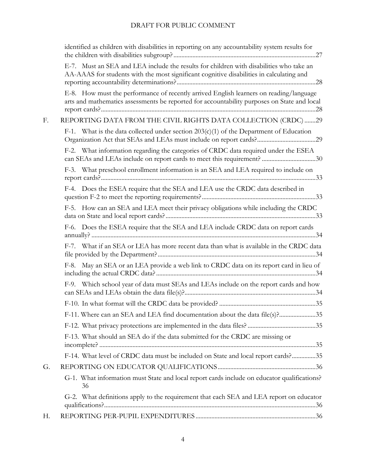|    | identified as children with disabilities in reporting on any accountability system results for                                                                                        |
|----|---------------------------------------------------------------------------------------------------------------------------------------------------------------------------------------|
|    | E-7. Must an SEA and LEA include the results for children with disabilities who take an<br>AA-AAAS for students with the most significant cognitive disabilities in calculating and   |
|    | E-8. How must the performance of recently arrived English learners on reading/language<br>arts and mathematics assessments be reported for accountability purposes on State and local |
| F. | REPORTING DATA FROM THE CIVIL RIGHTS DATA COLLECTION (CRDC) 29                                                                                                                        |
|    | F-1. What is the data collected under section $203(c)(1)$ of the Department of Education                                                                                              |
|    | F-2. What information regarding the categories of CRDC data required under the ESEA<br>can SEAs and LEAs include on report cards to meet this requirement? 30                         |
|    | F-3. What preschool enrollment information is an SEA and LEA required to include on                                                                                                   |
|    | F-4. Does the ESEA require that the SEA and LEA use the CRDC data described in                                                                                                        |
|    | F-5. How can an SEA and LEA meet their privacy obligations while including the CRDC                                                                                                   |
|    | F-6. Does the ESEA require that the SEA and LEA include CRDC data on report cards                                                                                                     |
|    | F-7. What if an SEA or LEA has more recent data than what is available in the CRDC data                                                                                               |
|    | F-8. May an SEA or an LEA provide a web link to CRDC data on its report card in lieu of                                                                                               |
|    | F-9. Which school year of data must SEAs and LEAs include on the report cards and how                                                                                                 |
|    |                                                                                                                                                                                       |
|    | F-11. Where can an SEA and LEA find documentation about the data file(s)?35                                                                                                           |
|    |                                                                                                                                                                                       |
|    | F-13. What should an SEA do if the data submitted for the CRDC are missing or                                                                                                         |
|    | F-14. What level of CRDC data must be included on State and local report cards?35                                                                                                     |
| G. |                                                                                                                                                                                       |
|    | G-1. What information must State and local report cards include on educator qualifications?<br>36                                                                                     |
|    | G-2. What definitions apply to the requirement that each SEA and LEA report on educator                                                                                               |
| Н. |                                                                                                                                                                                       |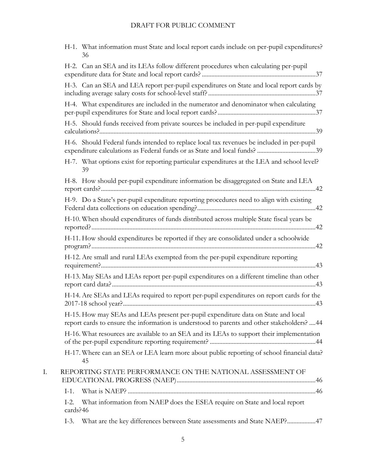|    | H-1. What information must State and local report cards include on per-pupil expenditures?<br>36                                                                                 |
|----|----------------------------------------------------------------------------------------------------------------------------------------------------------------------------------|
|    | H-2. Can an SEA and its LEAs follow different procedures when calculating per-pupil                                                                                              |
|    | H-3. Can an SEA and LEA report per-pupil expenditures on State and local report cards by                                                                                         |
|    | H-4. What expenditures are included in the numerator and denominator when calculating                                                                                            |
|    | H-5. Should funds received from private sources be included in per-pupil expenditure                                                                                             |
|    | H-6. Should Federal funds intended to replace local tax revenues be included in per-pupil                                                                                        |
|    | H-7. What options exist for reporting particular expenditures at the LEA and school level?<br>39                                                                                 |
|    | H-8. How should per-pupil expenditure information be disaggregated on State and LEA                                                                                              |
|    | H-9. Do a State's per-pupil expenditure reporting procedures need to align with existing                                                                                         |
|    | H-10. When should expenditures of funds distributed across multiple State fiscal years be                                                                                        |
|    | H-11. How should expenditures be reported if they are consolidated under a schoolwide                                                                                            |
|    | H-12. Are small and rural LEAs exempted from the per-pupil expenditure reporting                                                                                                 |
|    | H-13. May SEAs and LEAs report per-pupil expenditures on a different timeline than other                                                                                         |
|    | H-14. Are SEAs and LEAs required to report per-pupil expenditures on report cards for the                                                                                        |
|    | H-15. How may SEAs and LEAs present per-pupil expenditure data on State and local<br>report cards to ensure the information is understood to parents and other stakeholders?  44 |
|    | H-16. What resources are available to an SEA and its LEAs to support their implementation                                                                                        |
|    | H-17. Where can an SEA or LEA learn more about public reporting of school financial data?<br>45                                                                                  |
| I. | REPORTING STATE PERFORMANCE ON THE NATIONAL ASSESSMENT OF                                                                                                                        |
|    | $I-1$ .                                                                                                                                                                          |
|    | What information from NAEP does the ESEA require on State and local report<br>$I-2$ .<br>cards?46                                                                                |
|    | What are the key differences between State assessments and State NAEP?47<br>$I-3$ .                                                                                              |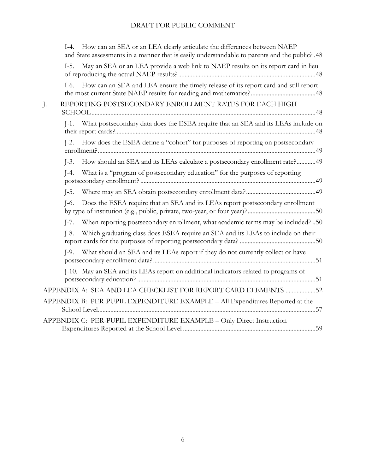| How can an SEA or an LEA clearly articulate the differences between NAEP<br>$L-4$ .<br>and State assessments in a manner that is easily understandable to parents and the public? .48 |
|---------------------------------------------------------------------------------------------------------------------------------------------------------------------------------------|
| May an SEA or an LEA provide a web link to NAEP results on its report card in lieu<br>$I-5.$                                                                                          |
| How can an SEA and LEA ensure the timely release of its report card and still report<br>$I-6$ .                                                                                       |
| REPORTING POSTSECONDARY ENROLLMENT RATES FOR EACH HIGH<br>J.                                                                                                                          |
| What postsecondary data does the ESEA require that an SEA and its LEAs include on<br>$I-1$ .                                                                                          |
| How does the ESEA define a "cohort" for purposes of reporting on postsecondary<br>$I-2$ .                                                                                             |
| How should an SEA and its LEAs calculate a postsecondary enrollment rate?49<br>$\left[-3\right]$                                                                                      |
| What is a "program of postsecondary education" for the purposes of reporting<br>$I-4.$                                                                                                |
| $\overline{$ -5.                                                                                                                                                                      |
| Does the ESEA require that an SEA and its LEAs report postsecondary enrollment<br>$I-6.$                                                                                              |
| When reporting postsecondary enrollment, what academic terms may be included? 50<br>$\left[-7\right]$                                                                                 |
| Which graduating class does ESEA require an SEA and its LEAs to include on their<br>$I-8.$                                                                                            |
| What should an SEA and its LEAs report if they do not currently collect or have<br>$I-9$ .                                                                                            |
| J-10. May an SEA and its LEAs report on additional indicators related to programs of                                                                                                  |
| APPENDIX A: SEA AND LEA CHECKLIST FOR REPORT CARD ELEMENTS 52                                                                                                                         |
| APPENDIX B: PER-PUPIL EXPENDITURE EXAMPLE - All Expenditures Reported at the                                                                                                          |
| APPENDIX C: PER-PUPIL EXPENDITURE EXAMPLE - Only Direct Instruction                                                                                                                   |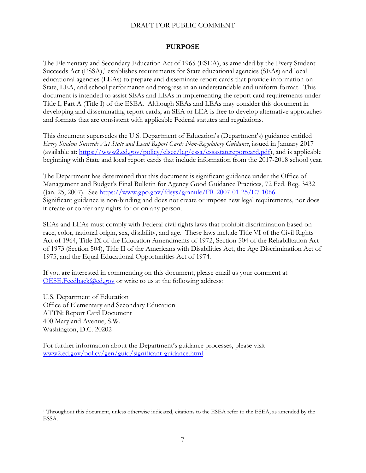#### **PURPOSE**

<span id="page-6-0"></span>The Elementary and Secondary Education Act of 1965 (ESEA), as amended by the Every Student Succeeds Act (ESSA),<sup>1</sup> establishes requirements for State educational agencies (SEAs) and local educational agencies (LEAs) to prepare and disseminate report cards that provide information on State, LEA, and school performance and progress in an understandable and uniform format. This document is intended to assist SEAs and LEAs in implementing the report card requirements under Title I, Part A (Title I) of the ESEA. Although SEAs and LEAs may consider this document in developing and disseminating report cards, an SEA or LEA is free to develop alternative approaches and formats that are consistent with applicable Federal statutes and regulations.

This document supersedes the U.S. Department of Education's (Department's) guidance entitled *Every Student Succeeds Act State and Local Report Cards Non-Regulatory Guidance*, issued in January 2017 (available at: [https://www2.ed.gov/policy/elsec/leg/essa/essastatereportcard.pdf\)](https://www2.ed.gov/policy/elsec/leg/essa/essastatereportcard.pdf), and is applicable beginning with State and local report cards that include information from the 2017-2018 school year.

The Department has determined that this document is significant guidance under the Office of Management and Budget's Final Bulletin for Agency Good Guidance Practices, 72 Fed. Reg. 3432 (Jan. 25, 2007). See [https://www.gpo.gov/fdsys/granule/FR-2007-01-25/E7-1066.](https://www.gpo.gov/fdsys/granule/FR-2007-01-25/E7-1066) Significant guidance is non-binding and does not create or impose new legal requirements, nor does it create or confer any rights for or on any person.

SEAs and LEAs must comply with Federal civil rights laws that prohibit discrimination based on race, color, national origin, sex, disability, and age. These laws include Title VI of the Civil Rights Act of 1964, Title IX of the Education Amendments of 1972, Section 504 of the Rehabilitation Act of 1973 (Section 504), Title II of the Americans with Disabilities Act, the Age Discrimination Act of 1975, and the Equal Educational Opportunities Act of 1974.

If you are interested in commenting on this document, please email us your comment at [OESE.Feedback@ed.gov](mailto:OESE.Feedback@ed.gov) or write to us at the following address:

U.S. Department of Education Office of Elementary and Secondary Education ATTN: Report Card Document 400 Maryland Avenue, S.W. Washington, D.C. 20202

 $\overline{a}$ 

For further information about the Department's guidance processes, please visit [www2.ed.gov/policy/gen/guid/significant-guidance.html.](http://www2.ed.gov/policy/gen/guid/significant-guidance.html)

<sup>&</sup>lt;sup>1</sup> Throughout this document, unless otherwise indicated, citations to the ESEA refer to the ESEA, as amended by the ESSA.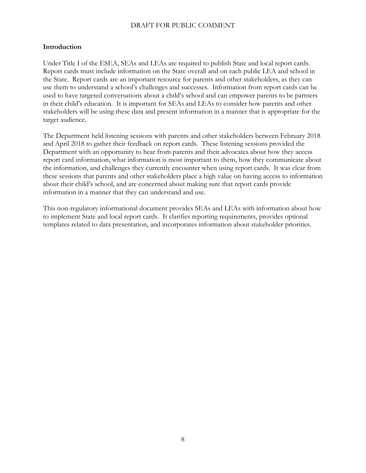#### **Introduction**

Under Title I of the ESEA, SEAs and LEAs are required to publish State and local report cards. Report cards must include information on the State overall and on each public LEA and school in the State. Report cards are an important resource for parents and other stakeholders, as they can use them to understand a school's challenges and successes. Information from report cards can be used to have targeted conversations about a child's school and can empower parents to be partners in their child's education. It is important for SEAs and LEAs to consider how parents and other stakeholders will be using these data and present information in a manner that is appropriate for the target audience.

The Department held listening sessions with parents and other stakeholders between February 2018 and April 2018 to gather their feedback on report cards. These listening sessions provided the Department with an opportunity to hear from parents and their advocates about how they access report card information, what information is most important to them, how they communicate about the information, and challenges they currently encounter when using report cards. It was clear from these sessions that parents and other stakeholders place a high value on having access to information about their child's school, and are concerned about making sure that report cards provide information in a manner that they can understand and use.

This non-regulatory informational document provides SEAs and LEAs with information about how to implement State and local report cards. It clarifies reporting requirements, provides optional templates related to data presentation, and incorporates information about stakeholder priorities.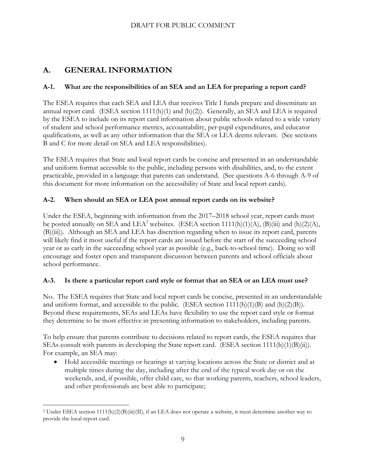# <span id="page-8-0"></span>**A. GENERAL INFORMATION**

## <span id="page-8-1"></span>**A-1. What are the responsibilities of an SEA and an LEA for preparing a report card?**

The ESEA requires that each SEA and LEA that receives Title I funds prepare and disseminate an annual report card. (ESEA section  $1111(h)(1)$  and  $(h)(2)$ ). Generally, an SEA and LEA is required by the ESEA to include on its report card information about public schools related to a wide variety of student and school performance metrics, accountability, per-pupil expenditures, and educator qualifications, as well as any other information that the SEA or LEA deems relevant. (See sections B and C for more detail on SEA and LEA responsibilities).

The ESEA requires that State and local report cards be concise and presented in an understandable and uniform format accessible to the public, including persons with disabilities, and, to the extent practicable, provided in a language that parents can understand. (See questions A-6 through A-9 of this document for more information on the accessibility of State and local report cards).

## <span id="page-8-2"></span>**A-2. When should an SEA or LEA post annual report cards on its website?**

Under the ESEA, beginning with information from the 2017–2018 school year, report cards must be posted annually on SEA and LEA<sup>2</sup> websites. (ESEA section 1111(h)(1)(A), (B)(iii) and (h)(2)(A), (B)(iii)). Although an SEA and LEA has discretion regarding when to issue its report card, parents will likely find it most useful if the report cards are issued before the start of the succeeding school year or as early in the succeeding school year as possible (e.g., back-to-school time). Doing so will encourage and foster open and transparent discussion between parents and school officials about school performance.

## <span id="page-8-3"></span>**A-3. Is there a particular report card style or format that an SEA or an LEA must use?**

No. The ESEA requires that State and local report cards be concise, presented in an understandable and uniform format, and accessible to the public. (ESEA section  $1111(h)(1)(B)$  and  $(h)(2)(B)$ ). Beyond these requirements, SEAs and LEAs have flexibility to use the report card style or format they determine to be most effective in presenting information to stakeholders, including parents.

To help ensure that parents contribute to decisions related to report cards, the ESEA requires that SEAs consult with parents in developing the State report card. (ESEA section 1111(h)(1)(B)(ii)). For example, an SEA may:

 Hold accessible meetings or hearings at varying locations across the State or district and at multiple times during the day, including after the end of the typical work day or on the weekends, and, if possible, offer child care, so that working parents, teachers, school leaders, and other professionals are best able to participate;

 $\overline{a}$ <sup>2</sup> Under ESEA section 1111(h)(2)(B)(iii)(II), if an LEA does not operate a website, it must determine another way to provide the local report card.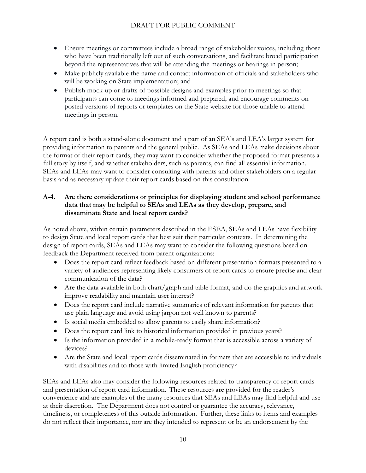- Ensure meetings or committees include a broad range of stakeholder voices, including those who have been traditionally left out of such conversations, and facilitate broad participation beyond the representatives that will be attending the meetings or hearings in person;
- Make publicly available the name and contact information of officials and stakeholders who will be working on State implementation; and
- Publish mock-up or drafts of possible designs and examples prior to meetings so that participants can come to meetings informed and prepared, and encourage comments on posted versions of reports or templates on the State website for those unable to attend meetings in person.

A report card is both a stand-alone document and a part of an SEA's and LEA's larger system for providing information to parents and the general public. As SEAs and LEAs make decisions about the format of their report cards, they may want to consider whether the proposed format presents a full story by itself, and whether stakeholders, such as parents, can find all essential information. SEAs and LEAs may want to consider consulting with parents and other stakeholders on a regular basis and as necessary update their report cards based on this consultation.

#### <span id="page-9-0"></span>**A-4. Are there considerations or principles for displaying student and school performance data that may be helpful to SEAs and LEAs as they develop, prepare, and disseminate State and local report cards?**

As noted above, within certain parameters described in the ESEA, SEAs and LEAs have flexibility to design State and local report cards that best suit their particular contexts. In determining the design of report cards, SEAs and LEAs may want to consider the following questions based on feedback the Department received from parent organizations:

- Does the report card reflect feedback based on different presentation formats presented to a variety of audiences representing likely consumers of report cards to ensure precise and clear communication of the data?
- Are the data available in both chart/graph and table format, and do the graphics and artwork improve readability and maintain user interest?
- Does the report card include narrative summaries of relevant information for parents that use plain language and avoid using jargon not well known to parents?
- Is social media embedded to allow parents to easily share information?
- Does the report card link to historical information provided in previous years?
- Is the information provided in a mobile-ready format that is accessible across a variety of devices?
- Are the State and local report cards disseminated in formats that are accessible to individuals with disabilities and to those with limited English proficiency?

SEAs and LEAs also may consider the following resources related to transparency of report cards and presentation of report card information. These resources are provided for the reader's convenience and are examples of the many resources that SEAs and LEAs may find helpful and use at their discretion. The Department does not control or guarantee the accuracy, relevance, timeliness, or completeness of this outside information. Further, these links to items and examples do not reflect their importance, nor are they intended to represent or be an endorsement by the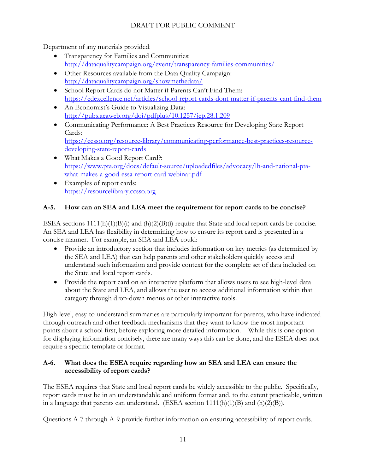Department of any materials provided:

- Transparency for Families and Communities: <http://dataqualitycampaign.org/event/transparency-families-communities/>
- Other Resources available from the Data Quality Campaign: <http://dataqualitycampaign.org/showmethedata/>
- School Report Cards do not Matter if Parents Can't Find Them: <https://edexcellence.net/articles/school-report-cards-dont-matter-if-parents-cant-find-them>
- An Economist's Guide to Visualizing Data: <http://pubs.aeaweb.org/doi/pdfplus/10.1257/jep.28.1.209>
- Communicating Performance: A Best Practices Resource for Developing State Report Cards: [https://ccsso.org/resource-library/communicating-performance-best-practices-resource](https://ccsso.org/resource-library/communicating-performance-best-practices-resource-developing-state-report-cards)[developing-state-report-cards](https://ccsso.org/resource-library/communicating-performance-best-practices-resource-developing-state-report-cards)
- What Makes a Good Report Card?: [https://www.pta.org/docs/default-source/uploadedfiles/advocacy/lh-and-national-pta](https://www.pta.org/docs/default-source/uploadedfiles/advocacy/lh-and-national-pta-what-makes-a-good-essa-report-card-webinar.pdf)[what-makes-a-good-essa-report-card-webinar.pdf](https://www.pta.org/docs/default-source/uploadedfiles/advocacy/lh-and-national-pta-what-makes-a-good-essa-report-card-webinar.pdf)
- Examples of report cards: [https://resourcelibrary.ccsso.org](https://resourcelibrary.ccsso.org/)

## <span id="page-10-0"></span>**A-5. How can an SEA and LEA meet the requirement for report cards to be concise?**

ESEA sections 1111(h)(1)(B)(i) and (h)(2)(B)(i) require that State and local report cards be concise. An SEA and LEA has flexibility in determining how to ensure its report card is presented in a concise manner. For example, an SEA and LEA could:

- Provide an introductory section that includes information on key metrics (as determined by the SEA and LEA) that can help parents and other stakeholders quickly access and understand such information and provide context for the complete set of data included on the State and local report cards.
- Provide the report card on an interactive platform that allows users to see high-level data about the State and LEA, and allows the user to access additional information within that category through drop-down menus or other interactive tools.

High-level, easy-to-understand summaries are particularly important for parents, who have indicated through outreach and other feedback mechanisms that they want to know the most important points about a school first, before exploring more detailed information. While this is one option for displaying information concisely, there are many ways this can be done, and the ESEA does not require a specific template or format.

## <span id="page-10-1"></span>**A-6. What does the ESEA require regarding how an SEA and LEA can ensure the accessibility of report cards?**

The ESEA requires that State and local report cards be widely accessible to the public. Specifically, report cards must be in an understandable and uniform format and, to the extent practicable, written in a language that parents can understand. (ESEA section  $1111(h)(1)(B)$  and  $(h)(2)(B)$ ).

Questions A-7 through A-9 provide further information on ensuring accessibility of report cards.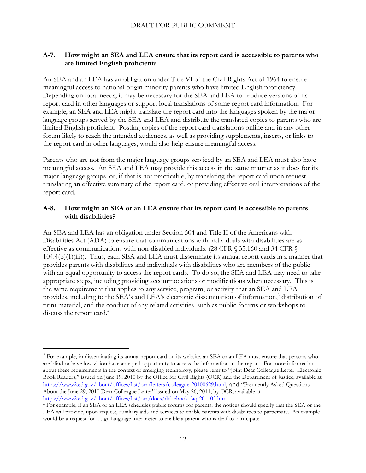#### <span id="page-11-0"></span>**A-7. How might an SEA and LEA ensure that its report card is accessible to parents who are limited English proficient?**

An SEA and an LEA has an obligation under Title VI of the Civil Rights Act of 1964 to ensure meaningful access to national origin minority parents who have limited English proficiency. Depending on local needs, it may be necessary for the SEA and LEA to produce versions of its report card in other languages or support local translations of some report card information. For example, an SEA and LEA might translate the report card into the languages spoken by the major language groups served by the SEA and LEA and distribute the translated copies to parents who are limited English proficient. Posting copies of the report card translations online and in any other forum likely to reach the intended audiences, as well as providing supplements, inserts, or links to the report card in other languages, would also help ensure meaningful access.

Parents who are not from the major language groups serviced by an SEA and LEA must also have meaningful access. An SEA and LEA may provide this access in the same manner as it does for its major language groups, or, if that is not practicable, by translating the report card upon request, translating an effective summary of the report card, or providing effective oral interpretations of the report card.

#### <span id="page-11-1"></span>**A-8. How might an SEA or an LEA ensure that its report card is accessible to parents with disabilities?**

An SEA and LEA has an obligation under Section 504 and Title II of the Americans with Disabilities Act (ADA) to ensure that communications with individuals with disabilities are as effective as communications with non-disabled individuals. (28 CFR § 35.160 and 34 CFR § 104.4(b)(1)(iii)). Thus, each SEA and LEA must disseminate its annual report cards in a manner that provides parents with disabilities and individuals with disabilities who are members of the public with an equal opportunity to access the report cards. To do so, the SEA and LEA may need to take appropriate steps, including providing accommodations or modifications when necessary. This is the same requirement that applies to any service, program, or activity that an SEA and LEA provides, including to the SEA's and LEA's electronic dissemination of information, 3 distribution of print material, and the conduct of any related activities, such as public forums or workshops to discuss the report card.<sup>4</sup>

 $\overline{a}$ 

 $3$  For example, in disseminating its annual report card on its website, an SEA or an LEA must ensure that persons who are blind or have low vision have an equal opportunity to access the information in the report. For more information about these requirements in the context of emerging technology, please refer to "Joint Dear Colleague Letter: Electronic Book Readers," issued on June 19, 2010 by the Office for Civil Rights (OCR) and the Department of Justice, available at <https://www2.ed.gov/about/offices/list/ocr/letters/colleague-20100629.html>, and "Frequently Asked Questions About the June 29, 2010 Dear Colleague Letter" issued on May 26, 2011, by OCR, available at [https://www2.ed.gov/about/offices/list/ocr/docs/dcl-ebook-faq-201105.html.](https://www2.ed.gov/about/offices/list/ocr/docs/dcl-ebook-faq-201105.html)

<sup>4</sup> For example, if an SEA or an LEA schedules public forums for parents, the notices should specify that the SEA or the LEA will provide, upon request, auxiliary aids and services to enable parents with disabilities to participate. An example would be a request for a sign language interpreter to enable a parent who is deaf to participate.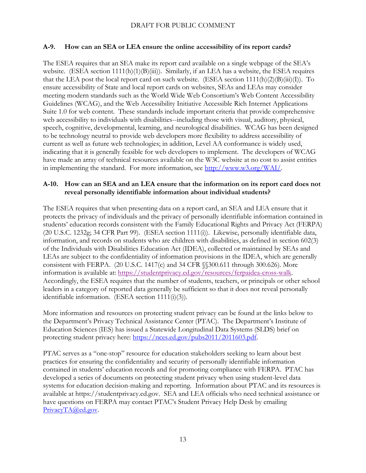#### <span id="page-12-0"></span>**A-9. How can an SEA or LEA ensure the online accessibility of its report cards?**

The ESEA requires that an SEA make its report card available on a single webpage of the SEA's website. (ESEA section 1111(h)(1)(B)(iii)). Similarly, if an LEA has a website, the ESEA requires that the LEA post the local report card on such website. (ESEA section 1111(h)(2)(B)(iii)(I)). To ensure accessibility of State and local report cards on websites, SEAs and LEAs may consider meeting modern standards such as the World Wide Web Consortium's Web Content Accessibility Guidelines (WCAG), and the Web Accessibility Initiative Accessible Rich Internet Applications Suite 1.0 for web content. These standards include important criteria that provide comprehensive web accessibility to individuals with disabilities--including those with visual, auditory, physical, speech, cognitive, developmental, learning, and neurological disabilities. WCAG has been designed to be technology neutral to provide web developers more flexibility to address accessibility of current as well as future web technologies; in addition, Level AA conformance is widely used, indicating that it is generally feasible for web developers to implement. The developers of WCAG have made an array of technical resources available on the W3C website at no cost to assist entities in implementing the standard. For more information, see [http://www.w3.org/WAI/.](http://www.w3.org/WAI/)

#### <span id="page-12-1"></span>**A-10. How can an SEA and an LEA ensure that the information on its report card does not reveal personally identifiable information about individual students?**

The ESEA requires that when presenting data on a report card, an SEA and LEA ensure that it protects the privacy of individuals and the privacy of personally identifiable information contained in students' education records consistent with the Family Educational Rights and Privacy Act (FERPA) (20 U.S.C. 1232g; 34 CFR Part 99). (ESEA section 1111(i)). Likewise, personally identifiable data, information, and records on students who are children with disabilities, as defined in section 602(3) of the Individuals with Disabilities Education Act (IDEA), collected or maintained by SEAs and LEAs are subject to the confidentiality of information provisions in the IDEA, which are generally consistent with FERPA. (20 U.S.C. 1417(c) and 34 CFR §§300.611 through 300.626). More information is available at: [https://studentprivacy.ed.gov/resources/ferpaidea-cross-walk.](https://studentprivacy.ed.gov/resources/ferpaidea-cross-walk) Accordingly, the ESEA requires that the number of students, teachers, or principals or other school leaders in a category of reported data generally be sufficient so that it does not reveal personally identifiable information. (ESEA section 1111(i)(3)).

More information and resources on protecting student privacy can be found at the links below to the Department's Privacy Technical Assistance Center (PTAC). The Department's Institute of Education Sciences (IES) has issued a Statewide Longitudinal Data Systems (SLDS) brief on protecting student privacy here: [https://nces.ed.gov/pubs2011/2011603.pdf.](https://nces.ed.gov/pubs2011/2011603.pdf)

PTAC serves as a "one-stop" resource for education stakeholders seeking to learn about best practices for ensuring the confidentiality and security of personally identifiable information contained in students' education records and for promoting compliance with FERPA. PTAC has developed a series of documents on protecting student privacy when using student-level data systems for education decision-making and reporting. Information about PTAC and its resources is available at https://studentprivacy.ed.gov. SEA and LEA officials who need technical assistance or have questions on FERPA may contact PTAC's Student Privacy Help Desk by emailing [PrivacyTA@ed.gov.](mailto:PrivacyTA@ed.gov)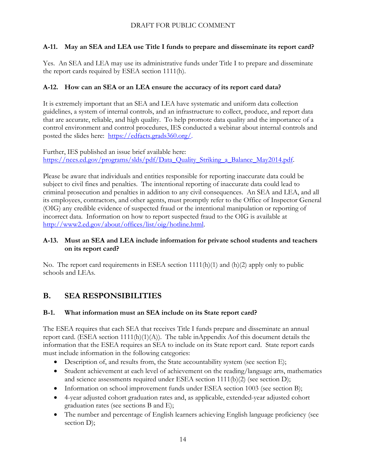## <span id="page-13-0"></span>**A-11. May an SEA and LEA use Title I funds to prepare and disseminate its report card?**

Yes. An SEA and LEA may use its administrative funds under Title I to prepare and disseminate the report cards required by ESEA section 1111(h).

## <span id="page-13-1"></span>**A-12. How can an SEA or an LEA ensure the accuracy of its report card data?**

It is extremely important that an SEA and LEA have systematic and uniform data collection guidelines, a system of internal controls, and an infrastructure to collect, produce, and report data that are accurate, reliable, and high quality. To help promote data quality and the importance of a control environment and control procedures, IES conducted a webinar about internal controls and posted the slides here: [https://edfacts.grads360.org/.](https://edfacts.grads360.org/)

Further, IES published an issue brief available here: [https://nces.ed.gov/programs/slds/pdf/Data\\_Quality\\_Striking\\_a\\_Balance\\_May2014.pdf.](https://nces.ed.gov/programs/slds/pdf/Data_Quality_Striking_a_Balance_May2014.pdf)

Please be aware that individuals and entities responsible for reporting inaccurate data could be subject to civil fines and penalties. The intentional reporting of inaccurate data could lead to criminal prosecution and penalties in addition to any civil consequences. An SEA and LEA, and all its employees, contractors, and other agents, must promptly refer to the Office of Inspector General (OIG) any credible evidence of suspected fraud or the intentional manipulation or reporting of incorrect data. Information on how to report suspected fraud to the OIG is available at [http://www2.ed.gov/about/offices/list/oig/hotline.html.](http://www2.ed.gov/about/offices/list/oig/hotline.html)

#### <span id="page-13-2"></span>**A-13. Must an SEA and LEA include information for private school students and teachers on its report card?**

No. The report card requirements in ESEA section  $1111(h)(1)$  and  $(h)(2)$  apply only to public schools and LEAs.

# <span id="page-13-3"></span>**B. SEA RESPONSIBILITIES**

#### <span id="page-13-4"></span>**B-1. What information must an SEA include on its State report card?**

The ESEA requires that each SEA that receives Title I funds prepare and disseminate an annual report card. (ESEA section  $1111(h)(1)(A)$ ). The table inAppendix Aof this document details the information that the ESEA requires an SEA to include on its State report card. State report cards must include information in the following categories:

- Description of, and results from, the State accountability system (see section E);
- Student achievement at each level of achievement on the reading/language arts, mathematics and science assessments required under ESEA section 1111(b)(2) (see section D);
- Information on school improvement funds under ESEA section 1003 (see section B);
- 4-year adjusted cohort graduation rates and, as applicable, extended-year adjusted cohort graduation rates (see sections B and E);
- The number and percentage of English learners achieving English language proficiency (see section D);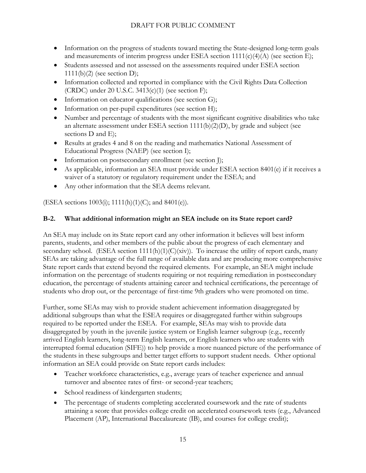- Information on the progress of students toward meeting the State-designed long-term goals and measurements of interim progress under ESEA section  $1111(c)(4)(A)$  (see section E);
- Students assessed and not assessed on the assessments required under ESEA section 1111(b)(2) (see section D);
- Information collected and reported in compliance with the Civil Rights Data Collection (CRDC) under 20 U.S.C.  $3413(c)(1)$  (see section F);
- Information on educator qualifications (see section G);
- Information on per-pupil expenditures (see section H);
- Number and percentage of students with the most significant cognitive disabilities who take an alternate assessment under ESEA section  $1111(b)(2)(D)$ , by grade and subject (see sections D and E);
- Results at grades 4 and 8 on the reading and mathematics National Assessment of Educational Progress (NAEP) (see section I);
- Information on postsecondary enrollment (see section I);
- As applicable, information an SEA must provide under ESEA section 8401(e) if it receives a waiver of a statutory or regulatory requirement under the ESEA; and
- Any other information that the SEA deems relevant.

(ESEA sections 1003(i); 1111(h)(1)(C); and 8401(e)).

#### <span id="page-14-0"></span>**B-2. What additional information might an SEA include on its State report card?**

An SEA may include on its State report card any other information it believes will best inform parents, students, and other members of the public about the progress of each elementary and secondary school. (ESEA section  $1111(h)(1)(C)(xiv)$ ). To increase the utility of report cards, many SEAs are taking advantage of the full range of available data and are producing more comprehensive State report cards that extend beyond the required elements. For example, an SEA might include information on the percentage of students requiring or not requiring remediation in postsecondary education, the percentage of students attaining career and technical certifications, the percentage of students who drop out, or the percentage of first-time 9th graders who were promoted on time.

Further, some SEAs may wish to provide student achievement information disaggregated by additional subgroups than what the ESEA requires or disaggregated further within subgroups required to be reported under the ESEA. For example, SEAs may wish to provide data disaggregated by youth in the juvenile justice system or English learner subgroup (e.g., recently arrived English learners, long-term English learners, or English learners who are students with interrupted formal education (SIFE)) to help provide a more nuanced picture of the performance of the students in these subgroups and better target efforts to support student needs. Other optional information an SEA could provide on State report cards includes:

- Teacher workforce characteristics, e.g., average years of teacher experience and annual turnover and absentee rates of first- or second-year teachers;
- School readiness of kindergarten students;
- The percentage of students completing accelerated coursework and the rate of students attaining a score that provides college credit on accelerated coursework tests (e.g., Advanced Placement (AP), International Baccalaureate (IB), and courses for college credit);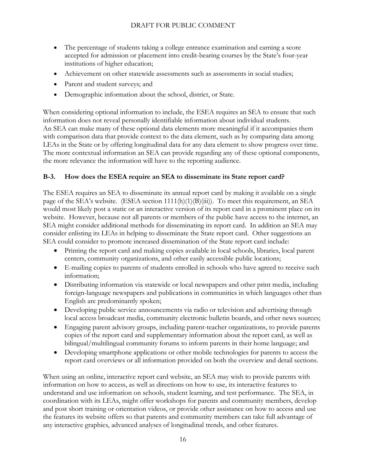- The percentage of students taking a college entrance examination and earning a score accepted for admission or placement into credit-bearing courses by the State's four-year institutions of higher education;
- Achievement on other statewide assessments such as assessments in social studies;
- Parent and student surveys; and
- Demographic information about the school, district, or State.

When considering optional information to include, the ESEA requires an SEA to ensure that such information does not reveal personally identifiable information about individual students. An SEA can make many of these optional data elements more meaningful if it accompanies them with comparison data that provide context to the data element, such as by comparing data among LEAs in the State or by offering longitudinal data for any data element to show progress over time. The more contextual information an SEA can provide regarding any of these optional components, the more relevance the information will have to the reporting audience.

## <span id="page-15-0"></span>**B-3. How does the ESEA require an SEA to disseminate its State report card?**

The ESEA requires an SEA to disseminate its annual report card by making it available on a single page of the SEA's website. (ESEA section 1111(h)(1)(B)(iii)). To meet this requirement, an SEA would most likely post a static or an interactive version of its report card in a prominent place on its website. However, because not all parents or members of the public have access to the internet, an SEA might consider additional methods for disseminating its report card. In addition an SEA may consider enlisting its LEAs in helping to disseminate the State report card. Other suggestions an SEA could consider to promote increased dissemination of the State report card include:

- Printing the report card and making copies available in local schools, libraries, local parent centers, community organizations, and other easily accessible public locations;
- E-mailing copies to parents of students enrolled in schools who have agreed to receive such information;
- Distributing information via statewide or local newspapers and other print media, including foreign-language newspapers and publications in communities in which languages other than English are predominantly spoken;
- Developing public service announcements via radio or television and advertising through local access broadcast media, community electronic bulletin boards, and other news sources;
- Engaging parent advisory groups, including parent-teacher organizations, to provide parents copies of the report card and supplementary information about the report card, as well as bilingual/multilingual community forums to inform parents in their home language; and
- Developing smartphone applications or other mobile technologies for parents to access the report card overviews or all information provided on both the overview and detail sections.

When using an online, interactive report card website, an SEA may wish to provide parents with information on how to access, as well as directions on how to use, its interactive features to understand and use information on schools, student learning, and test performance. The SEA, in coordination with its LEAs, might offer workshops for parents and community members, develop and post short training or orientation videos, or provide other assistance on how to access and use the features its website offers so that parents and community members can take full advantage of any interactive graphics, advanced analyses of longitudinal trends, and other features.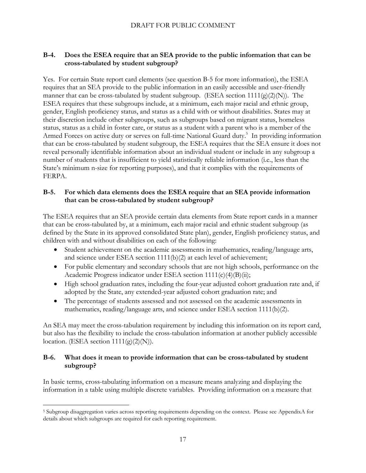#### <span id="page-16-0"></span>**B-4. Does the ESEA require that an SEA provide to the public information that can be cross-tabulated by student subgroup?**

Yes. For certain State report card elements (see question B-5 for more information), the ESEA requires that an SEA provide to the public information in an easily accessible and user-friendly manner that can be cross-tabulated by student subgroup. (ESEA section  $1111(g)(2)(N)$ ). The ESEA requires that these subgroups include, at a minimum, each major racial and ethnic group, gender, English proficiency status, and status as a child with or without disabilities. States may at their discretion include other subgroups, such as subgroups based on migrant status, homeless status, status as a child in foster care, or status as a student with a parent who is a member of the Armed Forces on active duty or serves on full-time National Guard duty.<sup>5</sup> In providing information that can be cross-tabulated by student subgroup, the ESEA requires that the SEA ensure it does not reveal personally identifiable information about an individual student or include in any subgroup a number of students that is insufficient to yield statistically reliable information (i.e., less than the State's minimum n-size for reporting purposes), and that it complies with the requirements of FERPA.

#### <span id="page-16-1"></span>**B-5. For which data elements does the ESEA require that an SEA provide information that can be cross-tabulated by student subgroup?**

The ESEA requires that an SEA provide certain data elements from State report cards in a manner that can be cross-tabulated by, at a minimum, each major racial and ethnic student subgroup (as defined by the State in its approved consolidated State plan), gender, English proficiency status, and children with and without disabilities on each of the following:

- Student achievement on the academic assessments in mathematics, reading/language arts, and science under ESEA section 1111(b)(2) at each level of achievement;
- For public elementary and secondary schools that are not high schools, performance on the Academic Progress indicator under ESEA section 1111(c)(4)(B)(ii);
- High school graduation rates, including the four-year adjusted cohort graduation rate and, if adopted by the State, any extended-year adjusted cohort graduation rate; and
- The percentage of students assessed and not assessed on the academic assessments in mathematics, reading/language arts, and science under ESEA section 1111(b)(2).

An SEA may meet the cross-tabulation requirement by including this information on its report card, but also has the flexibility to include the cross-tabulation information at another publicly accessible location. (ESEA section  $1111(g)(2)(N)$ ).

#### <span id="page-16-2"></span>**B-6. What does it mean to provide information that can be cross-tabulated by student subgroup?**

In basic terms, cross-tabulating information on a measure means analyzing and displaying the information in a table using multiple discrete variables. Providing information on a measure that

 $\overline{a}$ <sup>5</sup> Subgroup disaggregation varies across reporting requirements depending on the context. Please see AppendixA for details about which subgroups are required for each reporting requirement.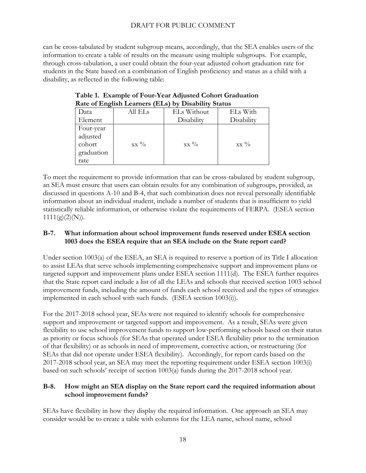can be cross-tabulated by student subgroup means, accordingly, that the SEA enables users of the information to create a table of results on the measure using multiple subgroups. For example, through cross-tabulation, a user could obtain the four-year adjusted cohort graduation rate for students in the State based on a combination of English proficiency and status as a child with a disability, as reflected in the following table:

| Rate of English Ecannels (EEs) by Disability Status   |         |             |                 |  |  |
|-------------------------------------------------------|---------|-------------|-----------------|--|--|
| Data                                                  | All ELs | ELs Without | ELs With        |  |  |
| Element                                               |         | Disability  | Disability      |  |  |
| Four-year<br>adjusted<br>cohort<br>graduation<br>rate | $XX\%$  | $XX\%$      | $XX\frac{0}{0}$ |  |  |

|                                                     | Table 1. Example of Four-Year Adjusted Cohort Graduation |
|-----------------------------------------------------|----------------------------------------------------------|
| Rate of English Learners (ELs) by Disability Status |                                                          |

To meet the requirement to provide information that can be cross-tabulated by student subgroup, an SEA must ensure that users can obtain results for any combination of subgroups, provided, as discussed in questions A-10 and B-4, that such combination does not reveal personally identifiable information about an individual student, include a number of students that is insufficient to yield statistically reliable information, or otherwise violate the requirements of FERPA. (ESEA section  $1111(g)(2)(N)$ ).

#### <span id="page-17-0"></span>**B-7. What information about school improvement funds reserved under ESEA section 1003 does the ESEA require that an SEA include on the State report card?**

Under section 1003(a) of the ESEA, an SEA is required to reserve a portion of its Title I allocation to assist LEAs that serve schools implementing comprehensive support and improvement plans or targeted support and improvement plans under ESEA section 1111(d). The ESEA further requires that the State report card include a list of all the LEAs and schools that received section 1003 school improvement funds, including the amount of funds each school received and the types of strategies implemented in each school with such funds. (ESEA section 1003(i)).

For the 2017-2018 school year, SEAs were not required to identify schools for comprehensive support and improvement or targeted support and improvement. As a result, SEAs were given flexibility to use school improvement funds to support low-performing schools based on their status as priority or focus schools (for SEAs that operated under ESEA flexibility prior to the termination of that flexibility) or as schools in need of improvement, corrective action, or restructuring (for SEAs that did not operate under ESEA flexibility). Accordingly, for report cards based on the 2017-2018 school year, an SEA may meet the reporting requirement under ESEA section 1003(i) based on such schools' receipt of section 1003(a) funds during the 2017-2018 school year.

#### <span id="page-17-1"></span>**B-8. How might an SEA display on the State report card the required information about school improvement funds?**

SEAs have flexibility in how they display the required information. One approach an SEA may consider would be to create a table with columns for the LEA name, school name, school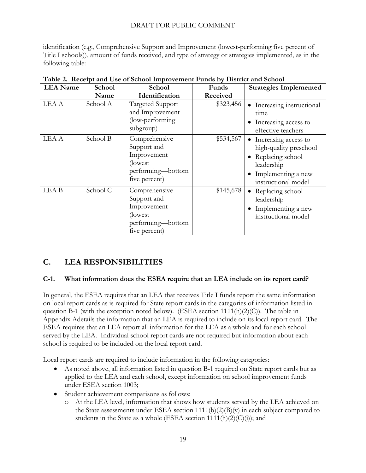identification (e.g., Comprehensive Support and Improvement (lowest-performing five percent of Title I schools)), amount of funds received, and type of strategy or strategies implemented, as in the following table:

| <b>LEA</b> Name  | <b>School</b> | School                                                                                        | Funds     | <b>Strategies Implemented</b>                                                                                                   |  |
|------------------|---------------|-----------------------------------------------------------------------------------------------|-----------|---------------------------------------------------------------------------------------------------------------------------------|--|
|                  | Name          | Identification                                                                                | Received  |                                                                                                                                 |  |
| LEA A            | School A      | Targeted Support<br>and Improvement<br>(low-performing)<br>subgroup)                          | \$323,456 | • Increasing instructional<br>time<br>Increasing access to<br>effective teachers                                                |  |
| LEA A            | School B      | Comprehensive<br>Support and<br>Improvement<br>(lowest)<br>performing-bottom<br>five percent) | \$534,567 | • Increasing access to<br>high-quality preschool<br>Replacing school<br>leadership<br>Implementing a new<br>instructional model |  |
| LEA <sub>B</sub> | School C      | Comprehensive<br>Support and<br>Improvement<br>(lowest)<br>performing-bottom<br>five percent) | \$145,678 | • Replacing school<br>leadership<br>Implementing a new<br>instructional model                                                   |  |

|  | Table 2. Receipt and Use of School Improvement Funds by District and School |  |  |
|--|-----------------------------------------------------------------------------|--|--|
|  |                                                                             |  |  |

# <span id="page-18-0"></span>**C. LEA RESPONSIBILITIES**

#### <span id="page-18-1"></span>**C-1. What information does the ESEA require that an LEA include on its report card?**

In general, the ESEA requires that an LEA that receives Title I funds report the same information on local report cards as is required for State report cards in the categories of information listed in question B-1 (with the exception noted below). (ESEA section  $1111(h)(2)(C)$ ). The table in Appendix Adetails the information that an LEA is required to include on its local report card. The ESEA requires that an LEA report all information for the LEA as a whole and for each school served by the LEA. Individual school report cards are not required but information about each school is required to be included on the local report card.

Local report cards are required to include information in the following categories:

- As noted above, all information listed in question B-1 required on State report cards but as applied to the LEA and each school, except information on school improvement funds under ESEA section 1003;
- Student achievement comparisons as follows:
	- o At the LEA level, information that shows how students served by the LEA achieved on the State assessments under ESEA section  $1111(b)(2)(B)(v)$  in each subject compared to students in the State as a whole (ESEA section  $1111(h)(2)(C)(i)$ ); and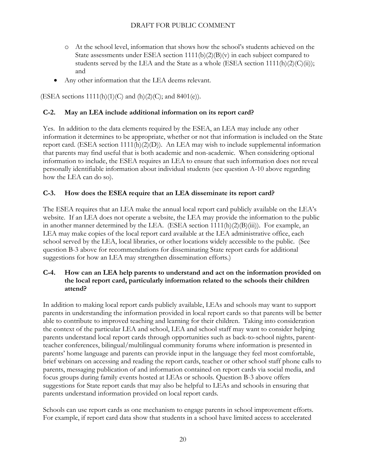- o At the school level, information that shows how the school's students achieved on the State assessments under ESEA section  $1111(b)(2)(B)(v)$  in each subject compared to students served by the LEA and the State as a whole (ESEA section  $1111(h)(2)(C(ii))$ ; and
- Any other information that the LEA deems relevant.

(ESEA sections  $1111(h)(1)(C)$  and  $(h)(2)(C)$ ; and  $8401(e)$ ).

## <span id="page-19-0"></span>**C-2. May an LEA include additional information on its report card?**

Yes. In addition to the data elements required by the ESEA, an LEA may include any other information it determines to be appropriate, whether or not that information is included on the State report card. (ESEA section 1111(h)(2)(D)). An LEA may wish to include supplemental information that parents may find useful that is both academic and non-academic. When considering optional information to include, the ESEA requires an LEA to ensure that such information does not reveal personally identifiable information about individual students (see question A-10 above regarding how the LEA can do so).

#### <span id="page-19-1"></span>**C-3. How does the ESEA require that an LEA disseminate its report card?**

The ESEA requires that an LEA make the annual local report card publicly available on the LEA's website. If an LEA does not operate a website, the LEA may provide the information to the public in another manner determined by the LEA. (ESEA section 1111(h)(2)(B)(iii)). For example, an LEA may make copies of the local report card available at the LEA administrative office, each school served by the LEA, local libraries, or other locations widely accessible to the public. (See question B-3 above for recommendations for disseminating State report cards for additional suggestions for how an LEA may strengthen dissemination efforts.)

#### <span id="page-19-2"></span>**C-4. How can an LEA help parents to understand and act on the information provided on the local report card, particularly information related to the schools their children attend?**

In addition to making local report cards publicly available, LEAs and schools may want to support parents in understanding the information provided in local report cards so that parents will be better able to contribute to improved teaching and learning for their children. Taking into consideration the context of the particular LEA and school, LEA and school staff may want to consider helping parents understand local report cards through opportunities such as back-to-school nights, parentteacher conferences, bilingual/multilingual community forums where information is presented in parents' home language and parents can provide input in the language they feel most comfortable, brief webinars on accessing and reading the report cards, teacher or other school staff phone calls to parents, messaging publication of and information contained on report cards via social media, and focus groups during family events hosted at LEAs or schools. Question B-3 above offers suggestions for State report cards that may also be helpful to LEAs and schools in ensuring that parents understand information provided on local report cards.

Schools can use report cards as one mechanism to engage parents in school improvement efforts. For example, if report card data show that students in a school have limited access to accelerated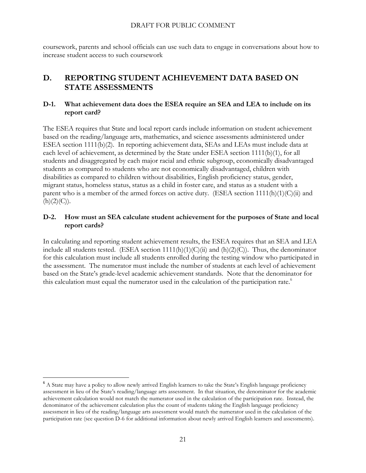coursework, parents and school officials can use such data to engage in conversations about how to increase student access to such coursework

# <span id="page-20-0"></span>**D. REPORTING STUDENT ACHIEVEMENT DATA BASED ON STATE ASSESSMENTS**

#### <span id="page-20-1"></span>**D-1. What achievement data does the ESEA require an SEA and LEA to include on its report card?**

The ESEA requires that State and local report cards include information on student achievement based on the reading/language arts, mathematics, and science assessments administered under ESEA section 1111(b)(2). In reporting achievement data, SEAs and LEAs must include data at each level of achievement, as determined by the State under ESEA section 1111(b)(1), for all students and disaggregated by each major racial and ethnic subgroup, economically disadvantaged students as compared to students who are not economically disadvantaged, children with disabilities as compared to children without disabilities, English proficiency status, gender, migrant status, homeless status, status as a child in foster care, and status as a student with a parent who is a member of the armed forces on active duty. (ESEA section  $1111(h)(1)(C(ii)$ ) and  $(h)(2)(C)).$ 

#### <span id="page-20-2"></span>**D-2. How must an SEA calculate student achievement for the purposes of State and local report cards?**

In calculating and reporting student achievement results, the ESEA requires that an SEA and LEA include all students tested. (ESEA section  $1111(h)(1)(C)(ii)$  and  $(h)(2)(C)$ ). Thus, the denominator for this calculation must include all students enrolled during the testing window who participated in the assessment. The numerator must include the number of students at each level of achievement based on the State's grade-level academic achievement standards. Note that the denominator for this calculation must equal the numerator used in the calculation of the participation rate.<sup>6</sup>

 $\overline{a}$ 

<sup>&</sup>lt;sup>6</sup> A State may have a policy to allow newly arrived English learners to take the State's English language proficiency assessment in lieu of the State's reading/language arts assessment. In that situation, the denominator for the academic achievement calculation would not match the numerator used in the calculation of the participation rate. Instead, the denominator of the achievement calculation plus the count of students taking the English language proficiency assessment in lieu of the reading/language arts assessment would match the numerator used in the calculation of the participation rate (see question D-6 for additional information about newly arrived English learners and assessments).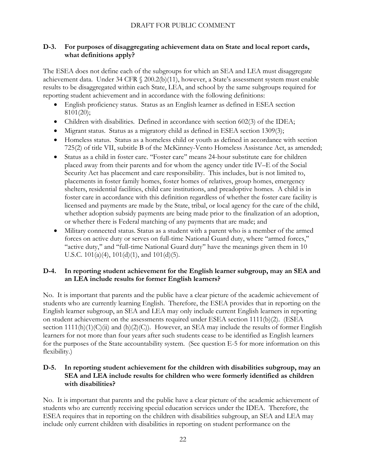#### <span id="page-21-0"></span>**D-3. For purposes of disaggregating achievement data on State and local report cards, what definitions apply?**

The ESEA does not define each of the subgroups for which an SEA and LEA must disaggregate achievement data. Under 34 CFR § 200.2(b)(11), however, a State's assessment system must enable results to be disaggregated within each State, LEA, and school by the same subgroups required for reporting student achievement and in accordance with the following definitions:

- English proficiency status. Status as an English learner as defined in ESEA section 8101(20);
- Children with disabilities. Defined in accordance with section 602(3) of the IDEA;
- Migrant status. Status as a migratory child as defined in ESEA section 1309(3);
- Homeless status. Status as a homeless child or youth as defined in accordance with section 725(2) of title VII, subtitle B of the McKinney-Vento Homeless Assistance Act, as amended;
- Status as a child in foster care. ''Foster care'' means 24-hour substitute care for children placed away from their parents and for whom the agency under title IV–E of the Social Security Act has placement and care responsibility. This includes, but is not limited to, placements in foster family homes, foster homes of relatives, group homes, emergency shelters, residential facilities, child care institutions, and preadoptive homes. A child is in foster care in accordance with this definition regardless of whether the foster care facility is licensed and payments are made by the State, tribal, or local agency for the care of the child, whether adoption subsidy payments are being made prior to the finalization of an adoption, or whether there is Federal matching of any payments that are made; and
- Military connected status. Status as a student with a parent who is a member of the armed forces on active duty or serves on full-time National Guard duty, where ''armed forces,'' "active duty," and "full-time National Guard duty" have the meanings given them in 10 U.S.C. 101(a)(4), 101(d)(1), and 101(d)(5).

#### <span id="page-21-1"></span>**D-4. In reporting student achievement for the English learner subgroup, may an SEA and an LEA include results for former English learners?**

No. It is important that parents and the public have a clear picture of the academic achievement of students who are currently learning English. Therefore, the ESEA provides that in reporting on the English learner subgroup, an SEA and LEA may only include current English learners in reporting on student achievement on the assessments required under ESEA section  $1111(b)(2)$ . (ESEA section  $1111(h)(1)(C)(ii)$  and  $(h)(2)(C)$ ). However, an SEA may include the results of former English learners for not more than four years after such students cease to be identified as English learners for the purposes of the State accountability system. (See question E-5 for more information on this flexibility.)

#### <span id="page-21-2"></span>**D-5. In reporting student achievement for the children with disabilities subgroup, may an SEA and LEA include results for children who were formerly identified as children with disabilities?**

No. It is important that parents and the public have a clear picture of the academic achievement of students who are currently receiving special education services under the IDEA. Therefore, the ESEA requires that in reporting on the children with disabilities subgroup, an SEA and LEA may include only current children with disabilities in reporting on student performance on the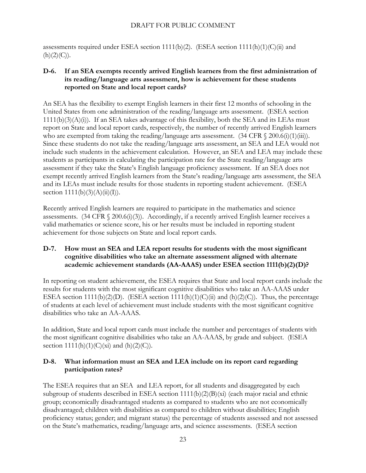assessments required under ESEA section 1111(b)(2). (ESEA section 1111(h)(1)(C)(ii) and  $(h)(2)(C)).$ 

#### <span id="page-22-0"></span>**D-6. If an SEA exempts recently arrived English learners from the first administration of its reading/language arts assessment, how is achievement for these students reported on State and local report cards?**

An SEA has the flexibility to exempt English learners in their first 12 months of schooling in the United States from one administration of the reading/language arts assessment. (ESEA section  $1111(b)(3)(A)(i)$ . If an SEA takes advantage of this flexibility, both the SEA and its LEAs must report on State and local report cards, respectively, the number of recently arrived English learners who are exempted from taking the reading/language arts assessment.  $(34 \text{ CFR} \text{ § } 200.6\text{ (i)}(1)\text{ (iii)})$ . Since these students do not take the reading/language arts assessment, an SEA and LEA would not include such students in the achievement calculation. However, an SEA and LEA may include these students as participants in calculating the participation rate for the State reading/language arts assessment if they take the State's English language proficiency assessment. If an SEA does not exempt recently arrived English learners from the State's reading/language arts assessment, the SEA and its LEAs must include results for those students in reporting student achievement. (ESEA section  $1111(b)(3)(A)(ii)(I)).$ 

Recently arrived English learners are required to participate in the mathematics and science assessments. (34 CFR  $\S$  200.6(i)(3)). Accordingly, if a recently arrived English learner receives a valid mathematics or science score, his or her results must be included in reporting student achievement for those subjects on State and local report cards.

#### <span id="page-22-1"></span>**D-7. How must an SEA and LEA report results for students with the most significant cognitive disabilities who take an alternate assessment aligned with alternate academic achievement standards (AA-AAAS) under ESEA section 1111(b)(2)(D)?**

In reporting on student achievement, the ESEA requires that State and local report cards include the results for students with the most significant cognitive disabilities who take an AA-AAAS under ESEA section 1111(b)(2)(D). (ESEA section 1111(h)(1)(C)(ii) and (h)(2)(C)). Thus, the percentage of students at each level of achievement must include students with the most significant cognitive disabilities who take an AA-AAAS.

In addition, State and local report cards must include the number and percentages of students with the most significant cognitive disabilities who take an AA-AAAS, by grade and subject. (ESEA section  $1111(h)(1)(C)(xi)$  and  $(h)(2)(C)$ .

## <span id="page-22-2"></span>**D-8. What information must an SEA and LEA include on its report card regarding participation rates?**

The ESEA requires that an SEA and LEA report, for all students and disaggregated by each subgroup of students described in ESEA section 1111(b)(2)(B)(xi) (each major racial and ethnic group; economically disadvantaged students as compared to students who are not economically disadvantaged; children with disabilities as compared to children without disabilities; English proficiency status; gender; and migrant status) the percentage of students assessed and not assessed on the State's mathematics, reading/language arts, and science assessments. (ESEA section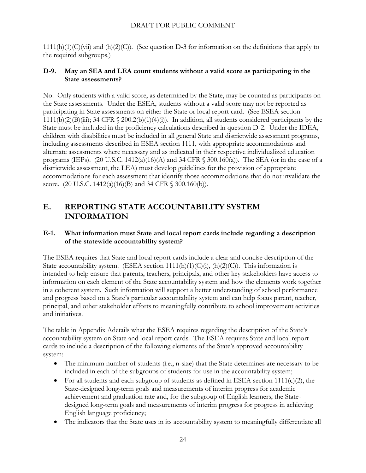$1111(h)(1)(C)(vi)$  and  $(h)(2)(C)$ . (See question D-3 for information on the definitions that apply to the required subgroups.)

#### <span id="page-23-0"></span>**D-9. May an SEA and LEA count students without a valid score as participating in the State assessments?**

No. Only students with a valid score, as determined by the State, may be counted as participants on the State assessments. Under the ESEA, students without a valid score may not be reported as participating in State assessments on either the State or local report card. (See ESEA section 1111(b)(2)(B)(iii); 34 CFR  $\Diamond$  200.2(b)(1)(4)(i)). In addition, all students considered participants by the State must be included in the proficiency calculations described in question D-2. Under the IDEA, children with disabilities must be included in all general State and districtwide assessment programs, including assessments described in ESEA section 1111, with appropriate accommodations and alternate assessments where necessary and as indicated in their respective individualized education programs (IEPs). (20 U.S.C. 1412(a)(16)(A) and 34 CFR  $\S$  300.160(a)). The SEA (or in the case of a districtwide assessment, the LEA) must develop guidelines for the provision of appropriate accommodations for each assessment that identify those accommodations that do not invalidate the score. (20 U.S.C. 1412(a)(16)(B) and 34 CFR § 300.160(b)).

# <span id="page-23-1"></span>**E. REPORTING STATE ACCOUNTABILITY SYSTEM INFORMATION**

#### <span id="page-23-2"></span>**E-1. What information must State and local report cards include regarding a description of the statewide accountability system?**

The ESEA requires that State and local report cards include a clear and concise description of the State accountability system. (ESEA section  $1111(h)(1)(C)(i)$ ,  $(h)(2)(C)$ ). This information is intended to help ensure that parents, teachers, principals, and other key stakeholders have access to information on each element of the State accountability system and how the elements work together in a coherent system. Such information will support a better understanding of school performance and progress based on a State's particular accountability system and can help focus parent, teacher, principal, and other stakeholder efforts to meaningfully contribute to school improvement activities and initiatives.

The table in Appendix Adetails what the ESEA requires regarding the description of the State's accountability system on State and local report cards. The ESEA requires State and local report cards to include a description of the following elements of the State's approved accountability system:

- The minimum number of students (i.e., n-size) that the State determines are necessary to be included in each of the subgroups of students for use in the accountability system;
- For all students and each subgroup of students as defined in ESEA section  $1111(c)(2)$ , the State-designed long-term goals and measurements of interim progress for academic achievement and graduation rate and, for the subgroup of English learners, the Statedesigned long-term goals and measurements of interim progress for progress in achieving English language proficiency;
- The indicators that the State uses in its accountability system to meaningfully differentiate all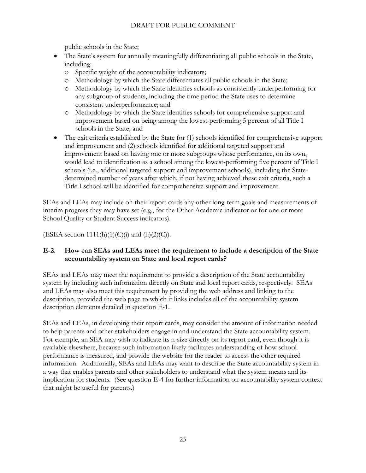public schools in the State;

- The State's system for annually meaningfully differentiating all public schools in the State, including:
	- o Specific weight of the accountability indicators;
	- o Methodology by which the State differentiates all public schools in the State;
	- o Methodology by which the State identifies schools as consistently underperforming for any subgroup of students, including the time period the State uses to determine consistent underperformance; and
	- o Methodology by which the State identifies schools for comprehensive support and improvement based on being among the lowest-performing 5 percent of all Title I schools in the State; and
- The exit criteria established by the State for (1) schools identified for comprehensive support and improvement and (2) schools identified for additional targeted support and improvement based on having one or more subgroups whose performance, on its own, would lead to identification as a school among the lowest-performing five percent of Title I schools (i.e., additional targeted support and improvement schools), including the Statedetermined number of years after which, if not having achieved these exit criteria, such a Title I school will be identified for comprehensive support and improvement.

SEAs and LEAs may include on their report cards any other long-term goals and measurements of interim progress they may have set (e.g., for the Other Academic indicator or for one or more School Quality or Student Success indicators).

(ESEA section  $1111(h)(1)(C)(i)$  and  $(h)(2)(C)$ ).

## <span id="page-24-0"></span>**E-2. How can SEAs and LEAs meet the requirement to include a description of the State accountability system on State and local report cards?**

SEAs and LEAs may meet the requirement to provide a description of the State accountability system by including such information directly on State and local report cards, respectively. SEAs and LEAs may also meet this requirement by providing the web address and linking to the description, provided the web page to which it links includes all of the accountability system description elements detailed in question E-1.

SEAs and LEAs, in developing their report cards, may consider the amount of information needed to help parents and other stakeholders engage in and understand the State accountability system. For example, an SEA may wish to indicate its n-size directly on its report card, even though it is available elsewhere, because such information likely facilitates understanding of how school performance is measured, and provide the website for the reader to access the other required information. Additionally, SEAs and LEAs may want to describe the State accountability system in a way that enables parents and other stakeholders to understand what the system means and its implication for students. (See question E-4 for further information on accountability system context that might be useful for parents.)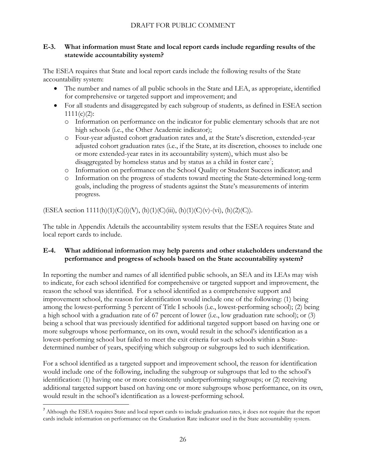#### <span id="page-25-0"></span>**E-3. What information must State and local report cards include regarding results of the statewide accountability system?**

The ESEA requires that State and local report cards include the following results of the State accountability system:

- The number and names of all public schools in the State and LEA, as appropriate, identified for comprehensive or targeted support and improvement; and
- For all students and disaggregated by each subgroup of students, as defined in ESEA section  $1111(c)(2)$ :
	- o Information on performance on the indicator for public elementary schools that are not high schools (i.e., the Other Academic indicator);
	- o Four-year adjusted cohort graduation rates and, at the State's discretion, extended-year adjusted cohort graduation rates (i.e., if the State, at its discretion, chooses to include one or more extended-year rates in its accountability system), which must also be disaggregated by homeless status and by status as a child in foster care<sup>7</sup>;
	- o Information on performance on the School Quality or Student Success indicator; and
	- o Information on the progress of students toward meeting the State-determined long-term goals, including the progress of students against the State's measurements of interim progress.

 $(ESEA section 1111(h)(1)(C)(i)(V), (h)(1)(C)(iii), (h)(1)(C)(v)-(vi), (h)(2)(C)).$ 

The table in Appendix Adetails the accountability system results that the ESEA requires State and local report cards to include.

#### <span id="page-25-1"></span>**E-4. What additional information may help parents and other stakeholders understand the performance and progress of schools based on the State accountability system?**

In reporting the number and names of all identified public schools, an SEA and its LEAs may wish to indicate, for each school identified for comprehensive or targeted support and improvement, the reason the school was identified. For a school identified as a comprehensive support and improvement school, the reason for identification would include one of the following: (1) being among the lowest-performing 5 percent of Title I schools (i.e., lowest-performing school); (2) being a high school with a graduation rate of 67 percent of lower (i.e., low graduation rate school); or (3) being a school that was previously identified for additional targeted support based on having one or more subgroups whose performance, on its own, would result in the school's identification as a lowest-performing school but failed to meet the exit criteria for such schools within a Statedetermined number of years, specifying which subgroup or subgroups led to such identification.

For a school identified as a targeted support and improvement school, the reason for identification would include one of the following, including the subgroup or subgroups that led to the school's identification: (1) having one or more consistently underperforming subgroups; or (2) receiving additional targeted support based on having one or more subgroups whose performance, on its own, would result in the school's identification as a lowest-performing school.

 $\overline{a}$ 

<sup>&</sup>lt;sup>7</sup> Although the ESEA requires State and local report cards to include graduation rates, it does not require that the report cards include information on performance on the Graduation Rate indicator used in the State accountability system.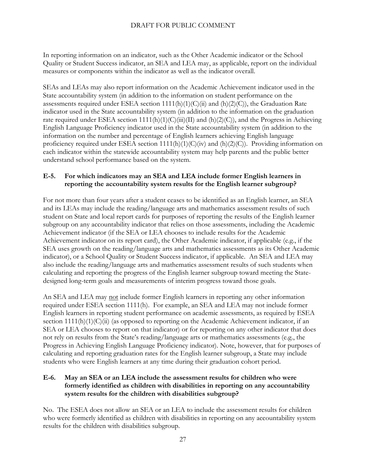In reporting information on an indicator, such as the Other Academic indicator or the School Quality or Student Success indicator, an SEA and LEA may, as applicable, report on the individual measures or components within the indicator as well as the indicator overall.

SEAs and LEAs may also report information on the Academic Achievement indicator used in the State accountability system (in addition to the information on student performance on the assessments required under ESEA section 1111(h)(1)(C)(ii) and (h)(2)(C)), the Graduation Rate indicator used in the State accountability system (in addition to the information on the graduation rate required under ESEA section 1111(h)(1)(C)(iii)(II) and (h)(2)(C)), and the Progress in Achieving English Language Proficiency indicator used in the State accountability system (in addition to the information on the number and percentage of English learners achieving English language proficiency required under ESEA section 1111(h)(1)(C)(iv) and (h)(2)(C)). Providing information on each indicator within the statewide accountability system may help parents and the public better understand school performance based on the system.

#### <span id="page-26-0"></span>**E-5. For which indicators may an SEA and LEA include former English learners in reporting the accountability system results for the English learner subgroup?**

For not more than four years after a student ceases to be identified as an English learner, an SEA and its LEAs may include the reading/language arts and mathematics assessment results of such student on State and local report cards for purposes of reporting the results of the English learner subgroup on any accountability indicator that relies on those assessments, including the Academic Achievement indicator (if the SEA or LEA chooses to include results for the Academic Achievement indicator on its report card), the Other Academic indicator, if applicable (e.g., if the SEA uses growth on the reading/language arts and mathematics assessments as its Other Academic indicator), or a School Quality or Student Success indicator, if applicable. An SEA and LEA may also include the reading/language arts and mathematics assessment results of such students when calculating and reporting the progress of the English learner subgroup toward meeting the Statedesigned long-term goals and measurements of interim progress toward those goals.

An SEA and LEA may not include former English learners in reporting any other information required under ESEA section 1111(h). For example, an SEA and LEA may not include former English learners in reporting student performance on academic assessments, as required by ESEA section 1111(h)(1)(C)(ii) (as opposed to reporting on the Academic Achievement indicator, if an SEA or LEA chooses to report on that indicator) or for reporting on any other indicator that does not rely on results from the State's reading/language arts or mathematics assessments (e.g., the Progress in Achieving English Language Proficiency indicator). Note, however, that for purposes of calculating and reporting graduation rates for the English learner subgroup, a State may include students who were English learners at any time during their graduation cohort period.

#### <span id="page-26-1"></span>**E-6. May an SEA or an LEA include the assessment results for children who were formerly identified as children with disabilities in reporting on any accountability system results for the children with disabilities subgroup?**

No. The ESEA does not allow an SEA or an LEA to include the assessment results for children who were formerly identified as children with disabilities in reporting on any accountability system results for the children with disabilities subgroup.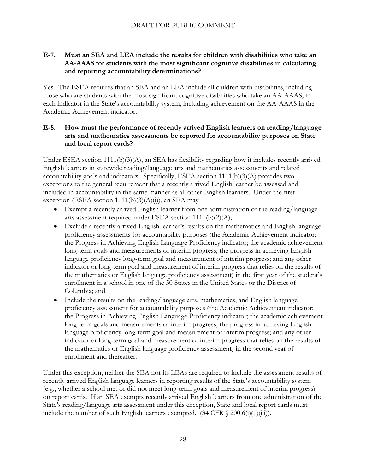#### <span id="page-27-0"></span>**E-7. Must an SEA and LEA include the results for children with disabilities who take an AA-AAAS for students with the most significant cognitive disabilities in calculating and reporting accountability determinations?**

Yes. The ESEA requires that an SEA and an LEA include all children with disabilities, including those who are students with the most significant cognitive disabilities who take an AA-AAAS, in each indicator in the State's accountability system, including achievement on the AA-AAAS in the Academic Achievement indicator.

#### <span id="page-27-1"></span>**E-8. How must the performance of recently arrived English learners on reading/language arts and mathematics assessments be reported for accountability purposes on State and local report cards?**

Under ESEA section  $1111(b)(3)(A)$ , an SEA has flexibility regarding how it includes recently arrived English learners in statewide reading/language arts and mathematics assessments and related accountability goals and indicators. Specifically, ESEA section 1111(b)(3)(A) provides two exceptions to the general requirement that a recently arrived English learner be assessed and included in accountability in the same manner as all other English learners. Under the first exception (ESEA section  $1111(b)(3)(A)(i)$ ), an SEA may—

- Exempt a recently arrived English learner from one administration of the reading/language arts assessment required under ESEA section 1111(b)(2)(A);
- Exclude a recently arrived English learner's results on the mathematics and English language proficiency assessments for accountability purposes (the Academic Achievement indicator; the Progress in Achieving English Language Proficiency indicator; the academic achievement long-term goals and measurements of interim progress; the progress in achieving English language proficiency long-term goal and measurement of interim progress; and any other indicator or long-term goal and measurement of interim progress that relies on the results of the mathematics or English language proficiency assessment) in the first year of the student's enrollment in a school in one of the 50 States in the United States or the District of Columbia; and
- Include the results on the reading/language arts, mathematics, and English language proficiency assessment for accountability purposes (the Academic Achievement indicator; the Progress in Achieving English Language Proficiency indicator; the academic achievement long-term goals and measurements of interim progress; the progress in achieving English language proficiency long-term goal and measurement of interim progress; and any other indicator or long-term goal and measurement of interim progress that relies on the results of the mathematics or English language proficiency assessment) in the second year of enrollment and thereafter.

Under this exception, neither the SEA nor its LEAs are required to include the assessment results of recently arrived English language learners in reporting results of the State's accountability system (e.g., whether a school met or did not meet long-term goals and measurement of interim progress) on report cards. If an SEA exempts recently arrived English learners from one administration of the State's reading/language arts assessment under this exception, State and local report cards must include the number of such English learners exempted.  $(34 \text{ CFR} \text{ § } 200.6\text{ (i)}(1)\text{ (iii)})$ .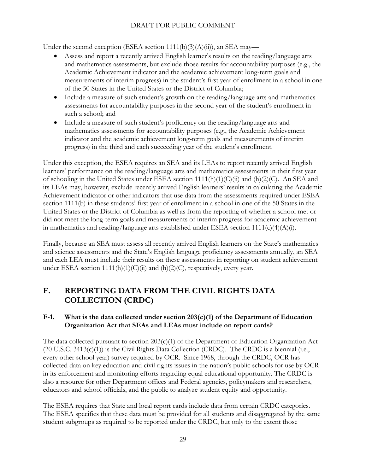Under the second exception (ESEA section  $1111(b)(3)(A)(ii)$ ), an SEA may—

- Assess and report a recently arrived English learner's results on the reading/language arts and mathematics assessments, but exclude those results for accountability purposes (e.g., the Academic Achievement indicator and the academic achievement long-term goals and measurements of interim progress) in the student's first year of enrollment in a school in one of the 50 States in the United States or the District of Columbia;
- Include a measure of such student's growth on the reading/language arts and mathematics assessments for accountability purposes in the second year of the student's enrollment in such a school; and
- Include a measure of such student's proficiency on the reading/language arts and mathematics assessments for accountability purposes (e.g., the Academic Achievement indicator and the academic achievement long-term goals and measurements of interim progress) in the third and each succeeding year of the student's enrollment.

Under this exception, the ESEA requires an SEA and its LEAs to report recently arrived English learners' performance on the reading/language arts and mathematics assessments in their first year of schooling in the United States under ESEA section 1111(h)(1)(C)(ii) and (h)(2)(C). An SEA and its LEAs may, however, exclude recently arrived English learners' results in calculating the Academic Achievement indicator or other indicators that use data from the assessments required under ESEA section 1111(b) in these students' first year of enrollment in a school in one of the 50 States in the United States or the District of Columbia as well as from the reporting of whether a school met or did not meet the long-term goals and measurements of interim progress for academic achievement in mathematics and reading/language arts established under ESEA section  $1111(c)(4)(A)(i)$ .

Finally, because an SEA must assess all recently arrived English learners on the State's mathematics and science assessments and the State's English language proficiency assessments annually, an SEA and each LEA must include their results on these assessments in reporting on student achievement under ESEA section  $1111(h)(1)(C)(ii)$  and  $(h)(2)(C)$ , respectively, every year.

# <span id="page-28-0"></span>**F. REPORTING DATA FROM THE CIVIL RIGHTS DATA COLLECTION (CRDC)**

## <span id="page-28-1"></span>**F-1. What is the data collected under section 203(c)(1) of the Department of Education Organization Act that SEAs and LEAs must include on report cards?**

The data collected pursuant to section 203(c)(1) of the Department of Education Organization Act (20 U.S.C. 3413(c)(1)) is the Civil Rights Data Collection (CRDC). The CRDC is a biennial (i.e., every other school year) survey required by OCR. Since 1968, through the CRDC, OCR has collected data on key education and civil rights issues in the nation's public schools for use by OCR in its enforcement and monitoring efforts regarding equal educational opportunity. The CRDC is also a resource for other Department offices and Federal agencies, policymakers and researchers, educators and school officials, and the public to analyze student equity and opportunity.

The ESEA requires that State and local report cards include data from certain CRDC categories. The ESEA specifies that these data must be provided for all students and disaggregated by the same student subgroups as required to be reported under the CRDC, but only to the extent those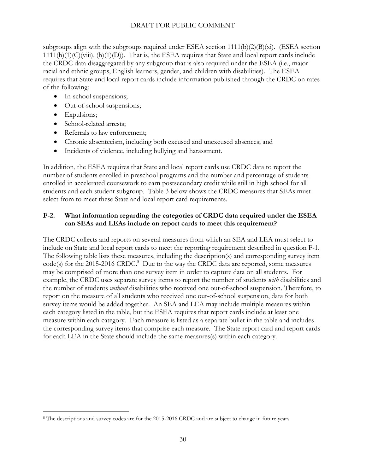subgroups align with the subgroups required under ESEA section  $1111(b)(2)(B)(xi)$ . (ESEA section  $1111(h)(1)(C)(viii), (h)(1)(D))$ . That is, the ESEA requires that State and local report cards include the CRDC data disaggregated by any subgroup that is also required under the ESEA (i.e., major racial and ethnic groups, English learners, gender, and children with disabilities). The ESEA requires that State and local report cards include information published through the CRDC on rates of the following:

- In-school suspensions;
- Out-of-school suspensions;
- Expulsions;

 $\overline{a}$ 

- School-related arrests;
- Referrals to law enforcement:
- Chronic absenteeism, including both excused and unexcused absences; and
- Incidents of violence, including bullying and harassment.

In addition, the ESEA requires that State and local report cards use CRDC data to report the number of students enrolled in preschool programs and the number and percentage of students enrolled in accelerated coursework to earn postsecondary credit while still in high school for all students and each student subgroup. Table 3 below shows the CRDC measures that SEAs must select from to meet these State and local report card requirements.

#### <span id="page-29-0"></span>**F-2. What information regarding the categories of CRDC data required under the ESEA can SEAs and LEAs include on report cards to meet this requirement?**

The CRDC collects and reports on several measures from which an SEA and LEA must select to include on State and local report cards to meet the reporting requirement described in question F-1. The following table lists these measures, including the description(s) and corresponding survey item  $code(s)$  for the 2015-2016 CRDC.<sup>8</sup> Due to the way the CRDC data are reported, some measures may be comprised of more than one survey item in order to capture data on all students. For example, the CRDC uses separate survey items to report the number of students *with* disabilities and the number of students *without* disabilities who received one out-of-school suspension. Therefore, to report on the measure of all students who received one out-of-school suspension, data for both survey items would be added together. An SEA and LEA may include multiple measures within each category listed in the table, but the ESEA requires that report cards include at least one measure within each category. Each measure is listed as a separate bullet in the table and includes the corresponding survey items that comprise each measure. The State report card and report cards for each LEA in the State should include the same measures(s) within each category.

<sup>8</sup> The descriptions and survey codes are for the 2015-2016 CRDC and are subject to change in future years.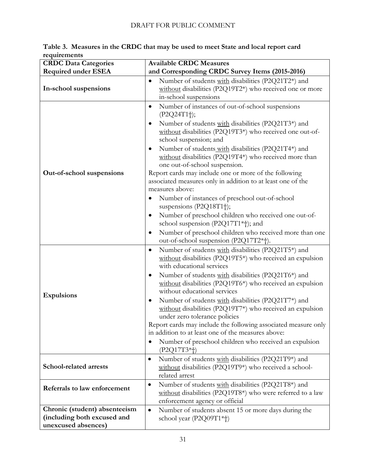| <b>CRDC Data Categories</b>                                                         | <b>Available CRDC Measures</b>                                                                                                                                                                                                                                                                                                                                                                                                                                                                                                                                                                                                                                                                                                                                                                                                                                                 |  |  |
|-------------------------------------------------------------------------------------|--------------------------------------------------------------------------------------------------------------------------------------------------------------------------------------------------------------------------------------------------------------------------------------------------------------------------------------------------------------------------------------------------------------------------------------------------------------------------------------------------------------------------------------------------------------------------------------------------------------------------------------------------------------------------------------------------------------------------------------------------------------------------------------------------------------------------------------------------------------------------------|--|--|
| <b>Required under ESEA</b>                                                          | and Corresponding CRDC Survey Items (2015-2016)                                                                                                                                                                                                                                                                                                                                                                                                                                                                                                                                                                                                                                                                                                                                                                                                                                |  |  |
| In-school suspensions                                                               | Number of students with disabilities (P2Q21T2*) and<br>٠<br>without disabilities (P2Q19T2*) who received one or more<br>in-school suspensions                                                                                                                                                                                                                                                                                                                                                                                                                                                                                                                                                                                                                                                                                                                                  |  |  |
| Out-of-school suspensions                                                           | Number of instances of out-of-school suspensions<br>$\bullet$<br>$(P2Q24T1$ <sup>+</sup> );<br>Number of students with disabilities (P2Q21T3*) and<br>٠<br>without disabilities (P2Q19T3*) who received one out-of-<br>school suspension; and<br>Number of students with disabilities (P2Q21T4*) and<br>$\bullet$<br>without disabilities (P2Q19T4*) who received more than<br>one out-of-school suspension.<br>Report cards may include one or more of the following<br>associated measures only in addition to at least one of the<br>measures above:<br>Number of instances of preschool out-of-school<br>$\bullet$<br>suspensions (P2Q18T1†);<br>Number of preschool children who received one out-of-<br>$\bullet$<br>school suspension (P2Q17T1*†); and<br>Number of preschool children who received more than one<br>$\bullet$<br>out-of-school suspension (P2Q17T2*†). |  |  |
| <b>Expulsions</b>                                                                   | Number of students with disabilities (P2Q21T5*) and<br>$\bullet$<br>without disabilities (P2Q19T5*) who received an expulsion<br>with educational services<br>Number of students with disabilities (P2Q21T6*) and<br>$\bullet$<br>without disabilities (P2Q19T6*) who received an expulsion<br>without educational services<br>Number of students with disabilities (P2Q21T7*) and<br>$\bullet$<br>without disabilities (P2Q19T7*) who received an expulsion<br>under zero tolerance policies<br>Report cards may include the following associated measure only<br>in addition to at least one of the measures above:<br>Number of preschool children who received an expulsion<br>$\bullet$<br>$(P2Q17T3*t)$                                                                                                                                                                  |  |  |
| School-related arrests                                                              | Number of students with disabilities (P2Q21T9*) and<br>$\bullet$<br>without disabilities (P2Q19T9*) who received a school-<br>related arrest                                                                                                                                                                                                                                                                                                                                                                                                                                                                                                                                                                                                                                                                                                                                   |  |  |
| Referrals to law enforcement                                                        | Number of students with disabilities (P2Q21T8*) and<br>$\bullet$<br>without disabilities (P2Q19T8*) who were referred to a law<br>enforcement agency or official                                                                                                                                                                                                                                                                                                                                                                                                                                                                                                                                                                                                                                                                                                               |  |  |
| Chronic (student) absenteeism<br>(including both excused and<br>unexcused absences) | Number of students absent 15 or more days during the<br>$\bullet$<br>school year (P2Q09T1*†)                                                                                                                                                                                                                                                                                                                                                                                                                                                                                                                                                                                                                                                                                                                                                                                   |  |  |

**Table 3. Measures in the CRDC that may be used to meet State and local report card requirements**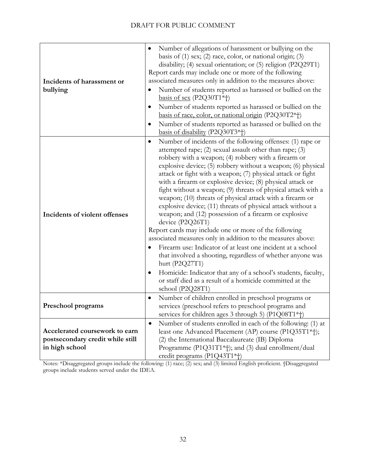| Incidents of harassment or<br>bullying                                               | Number of allegations of harassment or bullying on the<br>basis of $(1)$ sex; $(2)$ race, color, or national origin; $(3)$<br>disability; (4) sexual orientation; or (5) religion (P2Q29T1)<br>Report cards may include one or more of the following<br>associated measures only in addition to the measures above:<br>Number of students reported as harassed or bullied on the<br>basis of sex $(P2Q30T1*$ <sup>+</sup> )<br>Number of students reported as harassed or bullied on the<br>$\bullet$<br>basis of race, color, or national origin (P2Q30T2*†)<br>Number of students reported as harassed or bullied on the<br>$\bullet$<br>basis of disability (P2Q30T3*†)                                                                                                                                                                                                                                                                                                                                                                                                                  |
|--------------------------------------------------------------------------------------|---------------------------------------------------------------------------------------------------------------------------------------------------------------------------------------------------------------------------------------------------------------------------------------------------------------------------------------------------------------------------------------------------------------------------------------------------------------------------------------------------------------------------------------------------------------------------------------------------------------------------------------------------------------------------------------------------------------------------------------------------------------------------------------------------------------------------------------------------------------------------------------------------------------------------------------------------------------------------------------------------------------------------------------------------------------------------------------------|
| Incidents of violent offenses                                                        | Number of incidents of the following offenses: (1) rape or<br>$\bullet$<br>attempted rape; (2) sexual assault other than rape; (3)<br>robbery with a weapon; (4) robbery with a firearm or<br>explosive device; (5) robbery without a weapon; (6) physical<br>attack or fight with a weapon; (7) physical attack or fight<br>with a firearm or explosive device; (8) physical attack or<br>fight without a weapon; (9) threats of physical attack with a<br>weapon; (10) threats of physical attack with a firearm or<br>explosive device; (11) threats of physical attack without a<br>weapon; and (12) possession of a firearm or explosive<br>device (P2Q26T1)<br>Report cards may include one or more of the following<br>associated measures only in addition to the measures above:<br>Firearm use: Indicator of at least one incident at a school<br>that involved a shooting, regardless of whether anyone was<br>hurt $(P2Q27T1)$<br>Homicide: Indicator that any of a school's students, faculty,<br>or staff died as a result of a homicide committed at the<br>school (P2Q28T1) |
| Preschool programs                                                                   | Number of children enrolled in preschool programs or<br>$\bullet$<br>services (preschool refers to preschool programs and<br>services for children ages 3 through 5) (P1Q08T1*†)                                                                                                                                                                                                                                                                                                                                                                                                                                                                                                                                                                                                                                                                                                                                                                                                                                                                                                            |
| Accelerated coursework to earn<br>postsecondary credit while still<br>in high school | Number of students enrolled in each of the following: (1) at<br>$\bullet$<br>least one Advanced Placement (AP) course (P1Q35T1*†);<br>(2) the International Baccalaureate (IB) Diploma<br>Programme (P1Q31T1*+); and (3) dual enrollment/dual<br>credit programs (P1Q43T1*†)                                                                                                                                                                                                                                                                                                                                                                                                                                                                                                                                                                                                                                                                                                                                                                                                                |

Notes: \*Disaggregated groups include the following: (1) race; (2) sex; and (3) limited English proficient. †Disaggregated groups include students served under the IDEA.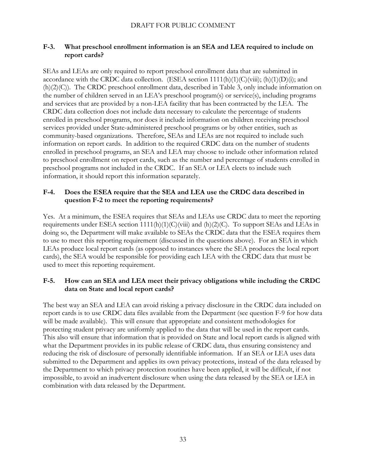#### <span id="page-32-0"></span>**F-3. What preschool enrollment information is an SEA and LEA required to include on report cards?**

SEAs and LEAs are only required to report preschool enrollment data that are submitted in accordance with the CRDC data collection. (ESEA section  $1111(h)(1)(C)(viii)$ ; (h) $(1)(D)(i)$ ; and (h)(2)(C)). The CRDC preschool enrollment data, described in Table 3, only include information on the number of children served in an LEA's preschool program(s) or service(s), including programs and services that are provided by a non-LEA facility that has been contracted by the LEA. The CRDC data collection does not include data necessary to calculate the percentage of students enrolled in preschool programs, nor does it include information on children receiving preschool services provided under State-administered preschool programs or by other entities, such as community-based organizations. Therefore, SEAs and LEAs are not required to include such information on report cards. In addition to the required CRDC data on the number of students enrolled in preschool programs, an SEA and LEA may choose to include other information related to preschool enrollment on report cards, such as the number and percentage of students enrolled in preschool programs not included in the CRDC. If an SEA or LEA elects to include such information, it should report this information separately.

#### <span id="page-32-1"></span>**F-4. Does the ESEA require that the SEA and LEA use the CRDC data described in question F-2 to meet the reporting requirements?**

Yes. At a minimum, the ESEA requires that SEAs and LEAs use CRDC data to meet the reporting requirements under ESEA section  $1111(h)(1)(C)(viii)$  and  $(h)(2)(C)$ . To support SEAs and LEAs in doing so, the Department will make available to SEAs the CRDC data that the ESEA requires them to use to meet this reporting requirement (discussed in the questions above). For an SEA in which LEAs produce local report cards (as opposed to instances where the SEA produces the local report cards), the SEA would be responsible for providing each LEA with the CRDC data that must be used to meet this reporting requirement.

#### <span id="page-32-2"></span>**F-5. How can an SEA and LEA meet their privacy obligations while including the CRDC data on State and local report cards?**

The best way an SEA and LEA can avoid risking a privacy disclosure in the CRDC data included on report cards is to use CRDC data files available from the Department (see question F-9 for how data will be made available). This will ensure that appropriate and consistent methodologies for protecting student privacy are uniformly applied to the data that will be used in the report cards. This also will ensure that information that is provided on State and local report cards is aligned with what the Department provides in its public release of CRDC data, thus ensuring consistency and reducing the risk of disclosure of personally identifiable information. If an SEA or LEA uses data submitted to the Department and applies its own privacy protections, instead of the data released by the Department to which privacy protection routines have been applied, it will be difficult, if not impossible, to avoid an inadvertent disclosure when using the data released by the SEA or LEA in combination with data released by the Department.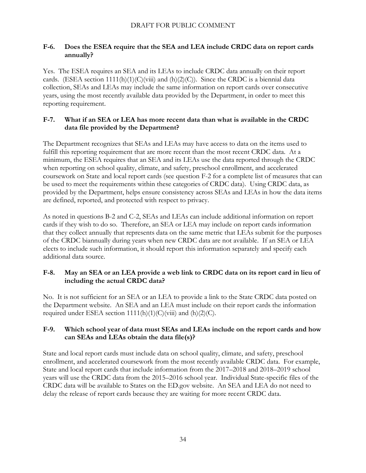#### <span id="page-33-0"></span>**F-6. Does the ESEA require that the SEA and LEA include CRDC data on report cards annually?**

Yes. The ESEA requires an SEA and its LEAs to include CRDC data annually on their report cards. (ESEA section  $1111(h)(1)(C)(viii)$  and  $(h)(2)(C)$ ). Since the CRDC is a biennial data collection, SEAs and LEAs may include the same information on report cards over consecutive years, using the most recently available data provided by the Department, in order to meet this reporting requirement.

#### <span id="page-33-1"></span>**F-7. What if an SEA or LEA has more recent data than what is available in the CRDC data file provided by the Department?**

The Department recognizes that SEAs and LEAs may have access to data on the items used to fulfill this reporting requirement that are more recent than the most recent CRDC data. At a minimum, the ESEA requires that an SEA and its LEAs use the data reported through the CRDC when reporting on school quality, climate, and safety, preschool enrollment, and accelerated coursework on State and local report cards (see question F-2 for a complete list of measures that can be used to meet the requirements within these categories of CRDC data). Using CRDC data, as provided by the Department, helps ensure consistency across SEAs and LEAs in how the data items are defined, reported, and protected with respect to privacy.

As noted in questions B-2 and C-2, SEAs and LEAs can include additional information on report cards if they wish to do so. Therefore, an SEA or LEA may include on report cards information that they collect annually that represents data on the same metric that LEAs submit for the purposes of the CRDC biannually during years when new CRDC data are not available. If an SEA or LEA elects to include such information, it should report this information separately and specify each additional data source.

#### <span id="page-33-2"></span>**F-8. May an SEA or an LEA provide a web link to CRDC data on its report card in lieu of including the actual CRDC data?**

No. It is not sufficient for an SEA or an LEA to provide a link to the State CRDC data posted on the Department website. An SEA and an LEA must include on their report cards the information required under ESEA section  $1111(h)(1)(C)(viii)$  and  $(h)(2)(C)$ .

#### <span id="page-33-3"></span>**F-9. Which school year of data must SEAs and LEAs include on the report cards and how can SEAs and LEAs obtain the data file(s)?**

State and local report cards must include data on school quality, climate, and safety, preschool enrollment, and accelerated coursework from the most recently available CRDC data. For example, State and local report cards that include information from the 2017–2018 and 2018–2019 school years will use the CRDC data from the 2015–2016 school year. Individual State-specific files of the CRDC data will be available to States on the ED.gov website. An SEA and LEA do not need to delay the release of report cards because they are waiting for more recent CRDC data.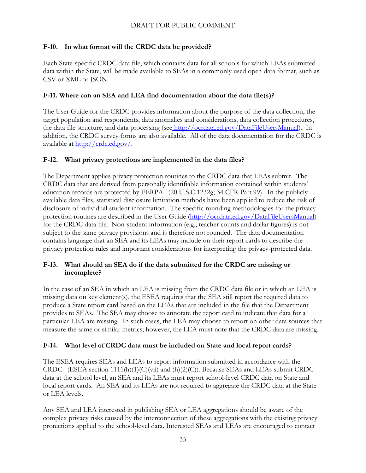#### <span id="page-34-0"></span>**F-10. In what format will the CRDC data be provided?**

Each State-specific CRDC data file, which contains data for all schools for which LEAs submitted data within the State, will be made available to SEAs in a commonly used open data format, such as CSV or XML or JSON.

#### <span id="page-34-1"></span>**F-11. Where can an SEA and LEA find documentation about the data file(s)?**

The User Guide for the CRDC provides information about the purpose of the data collection, the target population and respondents, data anomalies and considerations, data collection procedures, the data file structure, and data processing (see http://ocrdata.ed.gov/DataFileUsersManual). In addition, the CRDC survey forms are also available. All of the data documentation for the CRDC is available at [http://crdc.ed.gov/.](http://crdc.ed.gov/)

#### <span id="page-34-2"></span>**F-12. What privacy protections are implemented in the data files?**

The Department applies privacy protection routines to the CRDC data that LEAs submit. The CRDC data that are derived from personally identifiable information contained within students' education records are protected by FERPA. (20 U.S.C.1232g; 34 CFR Part 99). In the publicly available data files, statistical disclosure limitation methods have been applied to reduce the risk of disclosure of individual student information. The specific rounding methodologies for the privacy protection routines are described in the User Guide (http://ocrdata.ed.gov/DataFileUsersManual) for the CRDC data file. Non-student information (e.g., teacher counts and dollar figures) is not subject to the same privacy provisions and is therefore not rounded. The data documentation contains language that an SEA and its LEAs may include on their report cards to describe the privacy protection rules and important considerations for interpreting the privacy-protected data.

#### <span id="page-34-3"></span>**F-13. What should an SEA do if the data submitted for the CRDC are missing or incomplete?**

In the case of an SEA in which an LEA is missing from the CRDC data file or in which an LEA is missing data on key element(s), the ESEA requires that the SEA still report the required data to produce a State report card based on the LEAs that are included in the file that the Department provides to SEAs. The SEA may choose to annotate the report card to indicate that data for a particular LEA are missing. In such cases, the LEA may choose to report on other data sources that measure the same or similar metrics; however, the LEA must note that the CRDC data are missing.

#### <span id="page-34-4"></span>**F-14. What level of CRDC data must be included on State and local report cards?**

The ESEA requires SEAs and LEAs to report information submitted in accordance with the CRDC. (ESEA section 1111(h)(1)(C)(vii) and (h)(2)(C)). Because SEAs and LEAs submit CRDC data at the school level, an SEA and its LEAs must report school-level CRDC data on State and local report cards. An SEA and its LEAs are not required to aggregate the CRDC data at the State or LEA levels.

Any SEA and LEA interested in publishing SEA or LEA aggregations should be aware of the complex privacy risks caused by the interconnection of these aggregations with the existing privacy protections applied to the school-level data. Interested SEAs and LEAs are encouraged to contact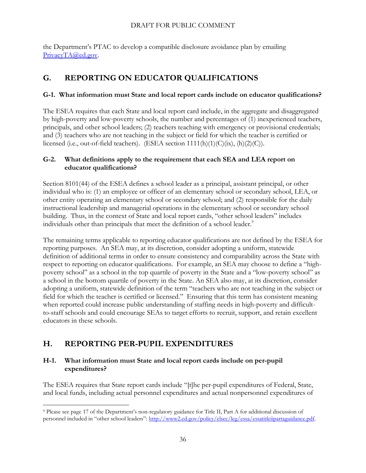the Department's PTAC to develop a compatible disclosure avoidance plan by emailing [PrivacyTA@ed.gov.](mailto:PrivacyTA@ed.gov)

# <span id="page-35-0"></span>**G. REPORTING ON EDUCATOR QUALIFICATIONS**

#### <span id="page-35-1"></span>**G-1. What information must State and local report cards include on educator qualifications?**

The ESEA requires that each State and local report card include, in the aggregate and disaggregated by high-poverty and low-poverty schools, the number and percentages of (1) inexperienced teachers, principals, and other school leaders; (2) teachers teaching with emergency or provisional credentials; and (3) teachers who are not teaching in the subject or field for which the teacher is certified or licensed (i.e., out-of-field teachers). (ESEA section  $1111(h)(1)(C)(ix)$ ,  $(h)(2)(C)$ ).

#### <span id="page-35-2"></span>**G-2. What definitions apply to the requirement that each SEA and LEA report on educator qualifications?**

Section 8101(44) of the ESEA defines a school leader as a principal, assistant principal, or other individual who is: (1) an employee or officer of an elementary school or secondary school, LEA, or other entity operating an elementary school or secondary school; and (2) responsible for the daily instructional leadership and managerial operations in the elementary school or secondary school building. Thus, in the context of State and local report cards, "other school leaders" includes individuals other than principals that meet the definition of a school leader. $9$ 

The remaining terms applicable to reporting educator qualifications are not defined by the ESEA for reporting purposes. An SEA may, at its discretion, consider adopting a uniform, statewide definition of additional terms in order to ensure consistency and comparability across the State with respect to reporting on educator qualifications. For example, an SEA may choose to define a "highpoverty school" as a school in the top quartile of poverty in the State and a "low-poverty school" as a school in the bottom quartile of poverty in the State. An SEA also may, at its discretion, consider adopting a uniform, statewide definition of the term "teachers who are not teaching in the subject or field for which the teacher is certified or licensed." Ensuring that this term has consistent meaning when reported could increase public understanding of staffing needs in high-poverty and difficultto-staff schools and could encourage SEAs to target efforts to recruit, support, and retain excellent educators in these schools.

# <span id="page-35-3"></span>**H. REPORTING PER-PUPIL EXPENDITURES**

#### <span id="page-35-4"></span>**H-1. What information must State and local report cards include on per-pupil expenditures?**

The ESEA requires that State report cards include "[t]he per-pupil expenditures of Federal, State, and local funds, including actual personnel expenditures and actual nonpersonnel expenditures of

 $\overline{a}$ <sup>9</sup> Please see page 17 of the Department's non-regulatory guidance for Title II, Part A for additional discussion of personnel included in "other school leaders": [http://www2.ed.gov/policy/elsec/leg/essa/essatitleiipartaguidance.pdf.](http://www2.ed.gov/policy/elsec/leg/essa/essatitleiipartaguidance.pdf)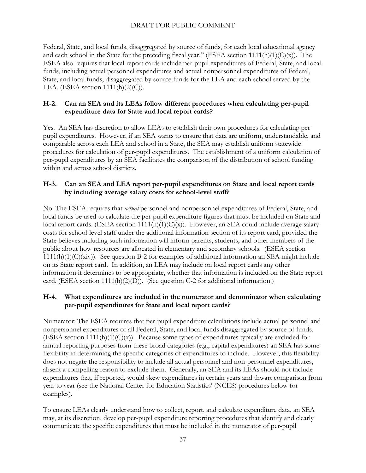Federal, State, and local funds, disaggregated by source of funds, for each local educational agency and each school in the State for the preceding fiscal year." (ESEA section  $1111(h)(1)(C)(x)$ ). The ESEA also requires that local report cards include per-pupil expenditures of Federal, State, and local funds, including actual personnel expenditures and actual nonpersonnel expenditures of Federal, State, and local funds, disaggregated by source funds for the LEA and each school served by the LEA. (ESEA section  $1111(h)(2)(C)$ ).

## <span id="page-36-0"></span>**H-2. Can an SEA and its LEAs follow different procedures when calculating per-pupil expenditure data for State and local report cards?**

Yes. An SEA has discretion to allow LEAs to establish their own procedures for calculating perpupil expenditures. However, if an SEA wants to ensure that data are uniform, understandable, and comparable across each LEA and school in a State, the SEA may establish uniform statewide procedures for calculation of per-pupil expenditures. The establishment of a uniform calculation of per-pupil expenditures by an SEA facilitates the comparison of the distribution of school funding within and across school districts.

## <span id="page-36-1"></span>**H-3. Can an SEA and LEA report per-pupil expenditures on State and local report cards by including average salary costs for school-level staff?**

No. The ESEA requires that *actual* personnel and nonpersonnel expenditures of Federal, State, and local funds be used to calculate the per-pupil expenditure figures that must be included on State and local report cards. (ESEA section 1111(h)(1)(C)(x)). However, an SEA could include average salary costs for school-level staff under the additional information section of its report card, provided the State believes including such information will inform parents, students, and other members of the public about how resources are allocated in elementary and secondary schools. (ESEA section 1111(h)(1)(C)(xiv)). See question B-2 for examples of additional information an SEA might include on its State report card. In addition, an LEA may include on local report cards any other information it determines to be appropriate, whether that information is included on the State report card. (ESEA section 1111(h)(2)(D)). (See question C-2 for additional information.)

#### <span id="page-36-2"></span>**H-4. What expenditures are included in the numerator and denominator when calculating per-pupil expenditures for State and local report cards?**

Numerator: The ESEA requires that per-pupil expenditure calculations include actual personnel and nonpersonnel expenditures of all Federal, State, and local funds disaggregated by source of funds. (ESEA section  $1111(h)(1)(C(x))$ ). Because some types of expenditures typically are excluded for annual reporting purposes from these broad categories (e.g., capital expenditures) an SEA has some flexibility in determining the specific categories of expenditures to include. However, this flexibility does not negate the responsibility to include all actual personnel and non-personnel expenditures, absent a compelling reason to exclude them. Generally, an SEA and its LEAs should not include expenditures that, if reported, would skew expenditures in certain years and thwart comparison from year to year (see the National Center for Education Statistics' (NCES) procedures below for examples).

To ensure LEAs clearly understand how to collect, report, and calculate expenditure data, an SEA may, at its discretion, develop per-pupil expenditure reporting procedures that identify and clearly communicate the specific expenditures that must be included in the numerator of per-pupil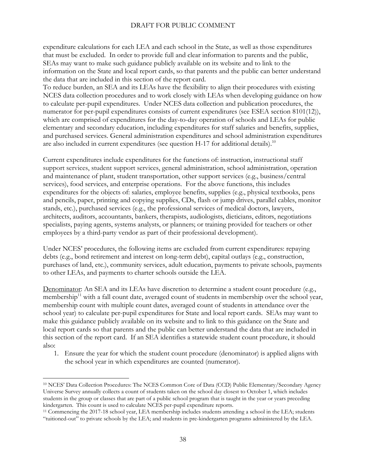expenditure calculations for each LEA and each school in the State, as well as those expenditures that must be excluded. In order to provide full and clear information to parents and the public, SEAs may want to make such guidance publicly available on its website and to link to the information on the State and local report cards, so that parents and the public can better understand the data that are included in this section of the report card.

To reduce burden, an SEA and its LEAs have the flexibility to align their procedures with existing NCES data collection procedures and to work closely with LEAs when developing guidance on how to calculate per-pupil expenditures. Under NCES data collection and publication procedures, the numerator for per-pupil expenditures consists of current expenditures (see ESEA section 8101(12)), which are comprised of expenditures for the day-to-day operation of schools and LEAs for public elementary and secondary education, including expenditures for staff salaries and benefits, supplies, and purchased services. General administration expenditures and school administration expenditures are also included in current expenditures (see question H-17 for additional details).<sup>10</sup>

Current expenditures include expenditures for the functions of: instruction, instructional staff support services, student support services, general administration, school administration, operation and maintenance of plant, student transportation, other support services (e.g., business/central services), food services, and enterprise operations. For the above functions, this includes expenditures for the objects of: salaries, employee benefits, supplies (e.g., physical textbooks, pens and pencils, paper, printing and copying supplies, CDs, flash or jump drives, parallel cables, monitor stands, etc.), purchased services (e.g., the professional services of medical doctors, lawyers, architects, auditors, accountants, bankers, therapists, audiologists, dieticians, editors, negotiations specialists, paying agents, systems analysts, or planners; or training provided for teachers or other employees by a third-party vendor as part of their professional development).

Under NCES' procedures, the following items are excluded from current expenditures: repaying debts (e.g., bond retirement and interest on long-term debt), capital outlays (e.g., construction, purchases of land, etc.), community services, adult education, payments to private schools, payments to other LEAs, and payments to charter schools outside the LEA.

Denominator: An SEA and its LEAs have discretion to determine a student count procedure (e.g., membership<sup>11</sup> with a fall count date, averaged count of students in membership over the school year, membership count with multiple count dates, averaged count of students in attendance over the school year) to calculate per-pupil expenditures for State and local report cards. SEAs may want to make this guidance publicly available on its website and to link to this guidance on the State and local report cards so that parents and the public can better understand the data that are included in this section of the report card. If an SEA identifies a statewide student count procedure, it should also:

1. Ensure the year for which the student count procedure (denominator) is applied aligns with the school year in which expenditures are counted (numerator).

 $\overline{a}$ 

<sup>10</sup> NCES' Data Collection Procedures: The NCES Common Core of Data (CCD) Public Elementary/Secondary Agency Universe Survey annually collects a count of students taken on the school day closest to October 1, which includes students in the group or classes that are part of a public school program that is taught in the year or years preceding kindergarten. This count is used to calculate NCES per-pupil expenditure reports.

<sup>11</sup> Commencing the 2017-18 school year, LEA membership includes students attending a school in the LEA; students "tuitioned-out" to private schools by the LEA; and students in pre-kindergarten programs administered by the LEA.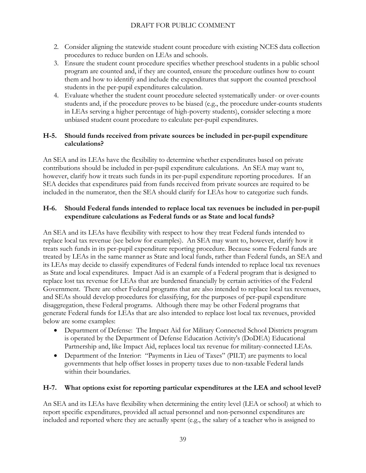- 2. Consider aligning the statewide student count procedure with existing NCES data collection procedures to reduce burden on LEAs and schools.
- 3. Ensure the student count procedure specifies whether preschool students in a public school program are counted and, if they are counted, ensure the procedure outlines how to count them and how to identify and include the expenditures that support the counted preschool students in the per-pupil expenditures calculation.
- 4. Evaluate whether the student count procedure selected systematically under- or over-counts students and, if the procedure proves to be biased (e.g., the procedure under-counts students in LEAs serving a higher percentage of high-poverty students), consider selecting a more unbiased student count procedure to calculate per-pupil expenditures.

#### <span id="page-38-0"></span>**H-5. Should funds received from private sources be included in per-pupil expenditure calculations?**

An SEA and its LEAs have the flexibility to determine whether expenditures based on private contributions should be included in per-pupil expenditure calculations. An SEA may want to, however, clarify how it treats such funds in its per-pupil expenditure reporting procedures. If an SEA decides that expenditures paid from funds received from private sources are required to be included in the numerator, then the SEA should clarify for LEAs how to categorize such funds.

#### <span id="page-38-1"></span>**H-6. Should Federal funds intended to replace local tax revenues be included in per-pupil expenditure calculations as Federal funds or as State and local funds?**

An SEA and its LEAs have flexibility with respect to how they treat Federal funds intended to replace local tax revenue (see below for examples). An SEA may want to, however, clarify how it treats such funds in its per-pupil expenditure reporting procedure. Because some Federal funds are treated by LEAs in the same manner as State and local funds, rather than Federal funds, an SEA and its LEAs may decide to classify expenditures of Federal funds intended to replace local tax revenues as State and local expenditures. Impact Aid is an example of a Federal program that is designed to replace lost tax revenue for LEAs that are burdened financially by certain activities of the Federal Government. There are other Federal programs that are also intended to replace local tax revenues, and SEAs should develop procedures for classifying, for the purposes of per-pupil expenditure disaggregation, these Federal programs. Although there may be other Federal programs that generate Federal funds for LEAs that are also intended to replace lost local tax revenues, provided below are some examples:

- Department of Defense: The Impact Aid for Military Connected School Districts program is operated by the Department of Defense Education Activity's (DoDEA) Educational Partnership and, like Impact Aid, replaces local tax revenue for military-connected LEAs.
- Department of the Interior: "Payments in Lieu of Taxes" (PILT) are payments to local governments that help offset losses in property taxes due to non-taxable Federal lands within their boundaries.

#### <span id="page-38-2"></span>**H-7. What options exist for reporting particular expenditures at the LEA and school level?**

An SEA and its LEAs have flexibility when determining the entity level (LEA or school) at which to report specific expenditures, provided all actual personnel and non-personnel expenditures are included and reported where they are actually spent (e.g., the salary of a teacher who is assigned to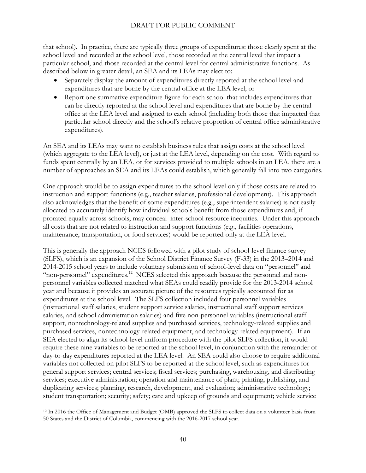that school). In practice, there are typically three groups of expenditures: those clearly spent at the school level and recorded at the school level, those recorded at the central level that impact a particular school, and those recorded at the central level for central administrative functions. As described below in greater detail, an SEA and its LEAs may elect to:

- Separately display the amount of expenditures directly reported at the school level and expenditures that are borne by the central office at the LEA level; or
- Report one summative expenditure figure for each school that includes expenditures that can be directly reported at the school level and expenditures that are borne by the central office at the LEA level and assigned to each school (including both those that impacted that particular school directly and the school's relative proportion of central office administrative expenditures).

An SEA and its LEAs may want to establish business rules that assign costs at the school level (which aggregate to the LEA level), or just at the LEA level, depending on the cost. With regard to funds spent centrally by an LEA, or for services provided to multiple schools in an LEA, there are a number of approaches an SEA and its LEAs could establish, which generally fall into two categories.

One approach would be to assign expenditures to the school level only if those costs are related to instruction and support functions (e.g., teacher salaries, professional development). This approach also acknowledges that the benefit of some expenditures (e.g., superintendent salaries) is not easily allocated to accurately identify how individual schools benefit from those expenditures and, if prorated equally across schools, may conceal inter-school resource inequities. Under this approach all costs that are not related to instruction and support functions (e.g., facilities operations, maintenance, transportation, or food services) would be reported only at the LEA level.

This is generally the approach NCES followed with a pilot study of school-level finance survey (SLFS), which is an expansion of the School District Finance Survey (F-33) in the 2013–2014 and 2014-2015 school years to include voluntary submission of school-level data on "personnel" and "non-personnel" expenditures.<sup>12</sup> NCES selected this approach because the personnel and nonpersonnel variables collected matched what SEAs could readily provide for the 2013-2014 school year and because it provides an accurate picture of the resources typically accounted for as expenditures at the school level. The SLFS collection included four personnel variables (instructional staff salaries, student support service salaries, instructional staff support services salaries, and school administration salaries) and five non-personnel variables (instructional staff support, nontechnology-related supplies and purchased services, technology-related supplies and purchased services, nontechnology-related equipment, and technology-related equipment). If an SEA elected to align its school-level uniform procedure with the pilot SLFS collection, it would require these nine variables to be reported at the school level, in conjunction with the remainder of day-to-day expenditures reported at the LEA level. An SEA could also choose to require additional variables not collected on pilot SLFS to be reported at the school level, such as expenditures for general support services; central services; fiscal services; purchasing, warehousing, and distributing services; executive administration; operation and maintenance of plant; printing, publishing, and duplicating services; planning, research, development, and evaluation; administrative technology; student transportation; security; safety; care and upkeep of grounds and equipment; vehicle service

 $\overline{a}$ <sup>12</sup> In 2016 the Office of Management and Budget (OMB) approved the SLFS to collect data on a volunteer basis from 50 States and the District of Columbia, commencing with the 2016-2017 school year.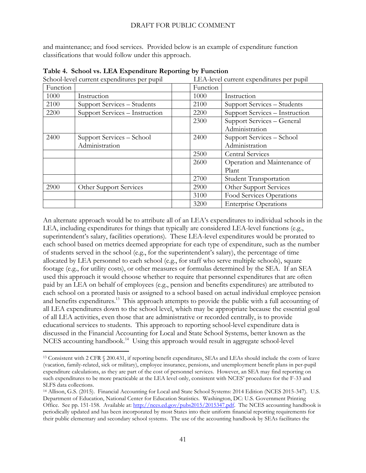and maintenance; and food services. Provided below is an example of expenditure function classifications that would follow under this approach.

| School-level current expenditures per pupil |                                             |          | LEA-level current expenditures per pupil     |
|---------------------------------------------|---------------------------------------------|----------|----------------------------------------------|
| Function                                    |                                             | Function |                                              |
| 1000                                        | Instruction                                 | 1000     | Instruction                                  |
| 2100                                        | Support Services - Students                 | 2100     | Support Services - Students                  |
| 2200                                        | Support Services - Instruction              | 2200     | Support Services - Instruction               |
|                                             |                                             | 2300     | Support Services - General<br>Administration |
| 2400                                        | Support Services – School<br>Administration | 2400     | Support Services - School<br>Administration  |
|                                             |                                             | 2500     | <b>Central Services</b>                      |
|                                             |                                             | 2600     | Operation and Maintenance of<br>Plant        |
|                                             |                                             | 2700     | <b>Student Transportation</b>                |
| 2900                                        | Other Support Services                      | 2900     | Other Support Services                       |
|                                             |                                             | 3100     | Food Services Operations                     |
|                                             |                                             | 3200     | <b>Enterprise Operations</b>                 |

**Table 4. School vs. LEA Expenditure Reporting by Function**

An alternate approach would be to attribute all of an LEA's expenditures to individual schools in the LEA, including expenditures for things that typically are considered LEA-level functions (e.g., superintendent's salary, facilities operations). These LEA-level expenditures would be prorated to each school based on metrics deemed appropriate for each type of expenditure, such as the number of students served in the school (e.g., for the superintendent's salary), the percentage of time allocated by LEA personnel to each school (e.g., for staff who serve multiple schools), square footage (e.g., for utility costs), or other measures or formulas determined by the SEA. If an SEA used this approach it would choose whether to require that personnel expenditures that are often paid by an LEA on behalf of employees (e.g., pension and benefits expenditures) are attributed to each school on a prorated basis or assigned to a school based on actual individual employee pension and benefits expenditures.<sup>13</sup> This approach attempts to provide the public with a full accounting of all LEA expenditures down to the school level, which may be appropriate because the essential goal of all LEA activities, even those that are administrative or recorded centrally, is to provide educational services to students. This approach to reporting school-level expenditure data is discussed in the Financial Accounting for Local and State School Systems, better known as the NCES accounting handbook.<sup>14</sup> Using this approach would result in aggregate school-level

 $\overline{a}$ 

<sup>13</sup> Consistent with 2 CFR § 200.431, if reporting benefit expenditures, SEAs and LEAs should include the costs of leave (vacation, family-related, sick or military), employee insurance, pensions, and unemployment benefit plans in per-pupil expenditure calculations, as they are part of the cost of personnel services. However, an SEA may find reporting on such expenditures to be more practicable at the LEA level only, consistent with NCES' procedures for the F-33 and SLFS data collections.

<sup>14</sup> Allison, G.S. (2015). Financial Accounting for Local and State School Systems: 2014 Edition (NCES 2015-347). U.S. Department of Education, National Center for Education Statistics. Washington, DC: U.S. Government Printing Office. See pp. 151-158. Available at: [http://nces.ed.gov/pubs2015/2015347.pdf.](http://nces.ed.gov/pubs2015/2015347.pdf) The NCES accounting handbook is periodically updated and has been incorporated by most States into their uniform financial reporting requirements for their public elementary and secondary school systems. The use of the accounting handbook by SEAs facilitates the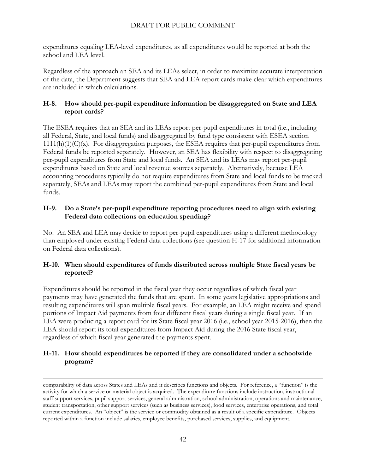expenditures equaling LEA-level expenditures, as all expenditures would be reported at both the school and LEA level.

Regardless of the approach an SEA and its LEAs select, in order to maximize accurate interpretation of the data, the Department suggests that SEA and LEA report cards make clear which expenditures are included in which calculations.

#### <span id="page-41-0"></span>**H-8. How should per-pupil expenditure information be disaggregated on State and LEA report cards?**

The ESEA requires that an SEA and its LEAs report per-pupil expenditures in total (i.e., including all Federal, State, and local funds) and disaggregated by fund type consistent with ESEA section  $1111(h)(1)(C)(x)$ . For disaggregation purposes, the ESEA requires that per-pupil expenditures from Federal funds be reported separately. However, an SEA has flexibility with respect to disaggregating per-pupil expenditures from State and local funds. An SEA and its LEAs may report per-pupil expenditures based on State and local revenue sources separately. Alternatively, because LEA accounting procedures typically do not require expenditures from State and local funds to be tracked separately, SEAs and LEAs may report the combined per-pupil expenditures from State and local funds.

#### <span id="page-41-1"></span>**H-9. Do a State's per-pupil expenditure reporting procedures need to align with existing Federal data collections on education spending?**

No. An SEA and LEA may decide to report per-pupil expenditures using a different methodology than employed under existing Federal data collections (see question H-17 for additional information on Federal data collections).

#### <span id="page-41-2"></span>**H-10. When should expenditures of funds distributed across multiple State fiscal years be reported?**

Expenditures should be reported in the fiscal year they occur regardless of which fiscal year payments may have generated the funds that are spent. In some years legislative appropriations and resulting expenditures will span multiple fiscal years. For example, an LEA might receive and spend portions of Impact Aid payments from four different fiscal years during a single fiscal year. If an LEA were producing a report card for its State fiscal year 2016 (i.e., school year 2015-2016), then the LEA should report its total expenditures from Impact Aid during the 2016 State fiscal year, regardless of which fiscal year generated the payments spent.

#### <span id="page-41-3"></span>**H-11. How should expenditures be reported if they are consolidated under a schoolwide program?**

 $\overline{a}$ 

comparability of data across States and LEAs and it describes functions and objects. For reference, a "function" is the activity for which a service or material object is acquired. The expenditure functions include instruction, instructional staff support services, pupil support services, general administration, school administration, operations and maintenance, student transportation, other support services (such as business services), food services, enterprise operations, and total current expenditures. An "object" is the service or commodity obtained as a result of a specific expenditure. Objects reported within a function include salaries, employee benefits, purchased services, supplies, and equipment.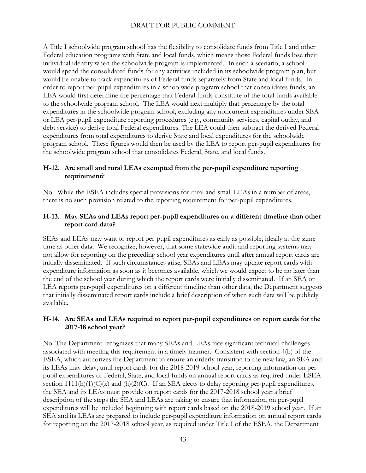A Title I schoolwide program school has the flexibility to consolidate funds from Title I and other Federal education programs with State and local funds, which means those Federal funds lose their individual identity when the schoolwide program is implemented. In such a scenario, a school would spend the consolidated funds for any activities included in its schoolwide program plan, but would be unable to track expenditures of Federal funds separately from State and local funds. In order to report per-pupil expenditures in a schoolwide program school that consolidates funds, an LEA would first determine the percentage that Federal funds constitute of the total funds available to the schoolwide program school. The LEA would next multiply that percentage by the total expenditures in the schoolwide program school, excluding any noncurrent expenditures under SEA or LEA per-pupil expenditure reporting procedures (e.g., community services, capital outlay, and debt service) to derive total Federal expenditures. The LEA could then subtract the derived Federal expenditures from total expenditures to derive State and local expenditures for the schoolwide program school. These figures would then be used by the LEA to report per-pupil expenditures for the schoolwide program school that consolidates Federal, State, and local funds.

#### <span id="page-42-0"></span>**H-12. Are small and rural LEAs exempted from the per-pupil expenditure reporting requirement?**

No. While the ESEA includes special provisions for rural and small LEAs in a number of areas, there is no such provision related to the reporting requirement for per-pupil expenditures.

#### <span id="page-42-1"></span>**H-13. May SEAs and LEAs report per-pupil expenditures on a different timeline than other report card data?**

SEAs and LEAs may want to report per-pupil expenditures as early as possible, ideally at the same time as other data. We recognize, however, that some statewide audit and reporting systems may not allow for reporting on the preceding school year expenditures until after annual report cards are initially disseminated. If such circumstances arise, SEAs and LEAs may update report cards with expenditure information as soon as it becomes available, which we would expect to be no later than the end of the school year during which the report cards were initially disseminated. If an SEA or LEA reports per-pupil expenditures on a different timeline than other data, the Department suggests that initially disseminated report cards include a brief description of when such data will be publicly available.

#### <span id="page-42-2"></span>**H-14. Are SEAs and LEAs required to report per-pupil expenditures on report cards for the 2017-18 school year?**

No. The Department recognizes that many SEAs and LEAs face significant technical challenges associated with meeting this requirement in a timely manner. Consistent with section 4(b) of the ESEA, which authorizes the Department to ensure an orderly transition to the new law, an SEA and its LEAs may delay, until report cards for the 2018-2019 school year, reporting information on perpupil expenditures of Federal, State, and local funds on annual report cards as required under ESEA section  $1111(h)(1)(C(x)$  and  $(h)(2)(C)$ . If an SEA elects to delay reporting per-pupil expenditures, the SEA and its LEAs must provide on report cards for the 2017-2018 school year a brief description of the steps the SEA and LEAs are taking to ensure that information on per-pupil expenditures will be included beginning with report cards based on the 2018-2019 school year. If an SEA and its LEAs are prepared to include per-pupil expenditure information on annual report cards for reporting on the 2017-2018 school year, as required under Title I of the ESEA, the Department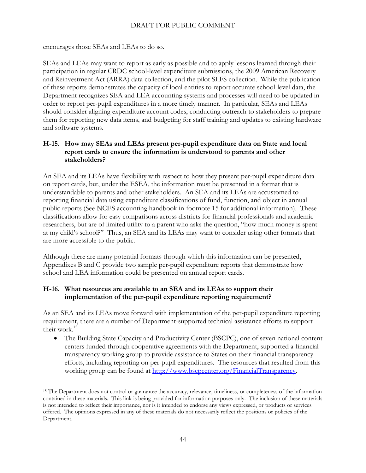encourages those SEAs and LEAs to do so.

 $\overline{a}$ 

SEAs and LEAs may want to report as early as possible and to apply lessons learned through their participation in regular CRDC school-level expenditure submissions, the 2009 American Recovery and Reinvestment Act (ARRA) data collection, and the pilot SLFS collection. While the publication of these reports demonstrates the capacity of local entities to report accurate school-level data, the Department recognizes SEA and LEA accounting systems and processes will need to be updated in order to report per-pupil expenditures in a more timely manner. In particular, SEAs and LEAs should consider aligning expenditure account codes, conducting outreach to stakeholders to prepare them for reporting new data items, and budgeting for staff training and updates to existing hardware and software systems.

#### <span id="page-43-0"></span>**H-15. How may SEAs and LEAs present per-pupil expenditure data on State and local report cards to ensure the information is understood to parents and other stakeholders?**

An SEA and its LEAs have flexibility with respect to how they present per-pupil expenditure data on report cards, but, under the ESEA, the information must be presented in a format that is understandable to parents and other stakeholders. An SEA and its LEAs are accustomed to reporting financial data using expenditure classifications of fund, function, and object in annual public reports (See NCES accounting handbook in footnote 15 for additional information). These classifications allow for easy comparisons across districts for financial professionals and academic researchers, but are of limited utility to a parent who asks the question, "how much money is spent at my child's school?" Thus, an SEA and its LEAs may want to consider using other formats that are more accessible to the public.

Although there are many potential formats through which this information can be presented, Appendixes B and C provide two sample per-pupil expenditure reports that demonstrate how school and LEA information could be presented on annual report cards.

#### <span id="page-43-1"></span>**H-16. What resources are available to an SEA and its LEAs to support their implementation of the per-pupil expenditure reporting requirement?**

As an SEA and its LEAs move forward with implementation of the per-pupil expenditure reporting requirement, there are a number of Department-supported technical assistance efforts to support their work.<sup>15</sup>

 The Building State Capacity and Productivity Center (BSCPC), one of seven national content centers funded through cooperative agreements with the Department, supported a financial transparency working group to provide assistance to States on their financial transparency efforts, including reporting on per-pupil expenditures. The resources that resulted from this working group can be found at [http://www.bscpcenter.org/FinancialTransparency.](http://www.bscpcenter.org/FinancialTransparency)

<sup>&</sup>lt;sup>15</sup> The Department does not control or guarantee the accuracy, relevance, timeliness, or completeness of the information contained in these materials. This link is being provided for information purposes only. The inclusion of these materials is not intended to reflect their importance, nor is it intended to endorse any views expressed, or products or services offered. The opinions expressed in any of these materials do not necessarily reflect the positions or policies of the Department.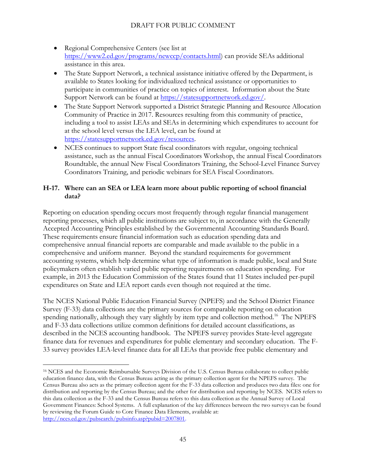- Regional Comprehensive Centers (see list at [https://www2.ed.gov/programs/newccp/contacts.html\)](https://www2.ed.gov/programs/newccp/contacts.html) can provide SEAs additional assistance in this area.
- The State Support Network, a technical assistance initiative offered by the Department, is available to States looking for individualized technical assistance or opportunities to participate in communities of practice on topics of interest. Information about the State Support Network can be found at [https://statesupportnetwork.ed.gov/.](https://statesupportnetwork.ed.gov/)
- The State Support Network supported a District Strategic Planning and Resource Allocation Community of Practice in 2017. Resources resulting from this community of practice, including a tool to assist LEAs and SEAs in determining which expenditures to account for at the school level versus the LEA level, can be found at [https://statesupportnetwork.ed.gov/resources.](https://statesupportnetwork.ed.gov/resources)
- NCES continues to support State fiscal coordinators with regular, ongoing technical assistance, such as the annual Fiscal Coordinators Workshop, the annual Fiscal Coordinators Roundtable, the annual New Fiscal Coordinators Training, the School-Level Finance Survey Coordinators Training, and periodic webinars for SEA Fiscal Coordinators.

#### <span id="page-44-0"></span>**H-17. Where can an SEA or LEA learn more about public reporting of school financial data?**

Reporting on education spending occurs most frequently through regular financial management reporting processes, which all public institutions are subject to, in accordance with the Generally Accepted Accounting Principles established by the Governmental Accounting Standards Board. These requirements ensure financial information such as education spending data and comprehensive annual financial reports are comparable and made available to the public in a comprehensive and uniform manner. Beyond the standard requirements for government accounting systems, which help determine what type of information is made public, local and State policymakers often establish varied public reporting requirements on education spending. For example, in 2013 the Education Commission of the States found that 11 States included per-pupil expenditures on State and LEA report cards even though not required at the time.

The NCES National Public Education Financial Survey (NPEFS) and the School District Finance Survey (F-33) data collections are the primary sources for comparable reporting on education spending nationally, although they vary slightly by item type and collection method.<sup>16</sup> The NPEFS and F-33 data collections utilize common definitions for detailed account classifications, as described in the NCES accounting handbook. The NPEFS survey provides State-level aggregate finance data for revenues and expenditures for public elementary and secondary education. The F-33 survey provides LEA-level finance data for all LEAs that provide free public elementary and

 $\overline{a}$ 

<sup>16</sup> NCES and the Economic Reimbursable Surveys Division of the U.S. Census Bureau collaborate to collect public education finance data, with the Census Bureau acting as the primary collection agent for the NPEFS survey. The Census Bureau also acts as the primary collection agent for the F-33 data collection and produces two data files: one for distribution and reporting by the Census Bureau; and the other for distribution and reporting by NCES. NCES refers to this data collection as the F-33 and the Census Bureau refers to this data collection as the Annual Survey of Local Government Finances: School Systems. A full explanation of the key differences between the two surveys can be found by reviewing the Forum Guide to Core Finance Data Elements, available at: [http://nces.ed.gov/pubsearch/pubsinfo.asp?pubid=2007801.](http://nces.ed.gov/pubsearch/pubsinfo.asp?pubid=2007801)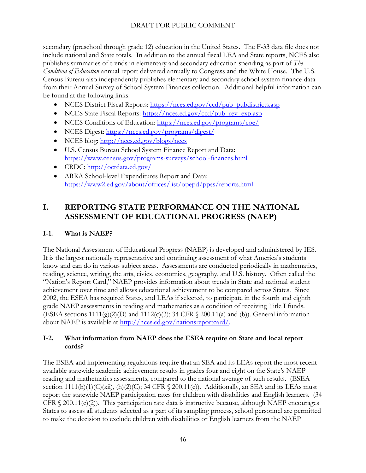secondary (preschool through grade 12) education in the United States. The F-33 data file does not include national and State totals. In addition to the annual fiscal LEA and State reports, NCES also publishes summaries of trends in elementary and secondary education spending as part of *The Condition of Education* annual report delivered annually to Congress and the White House. The U.S. Census Bureau also independently publishes elementary and secondary school system finance data from their Annual Survey of School System Finances collection. Additional helpful information can be found at the following links:

- NCES District Fiscal Reports: [https://nces.ed.gov/ccd/pub\\_pubdistricts.asp](https://nces.ed.gov/ccd/pub_pubdistricts.asp)
- NCES State Fiscal Reports: [https://nces.ed.gov/ccd/pub\\_rev\\_exp.asp](https://nces.ed.gov/ccd/pub_rev_exp.asp)
- NCES Conditions of Education:<https://nces.ed.gov/programs/coe/>
- NCES Digest:<https://nces.ed.gov/programs/digest/>
- NCES blog:<http://nces.ed.gov/blogs/nces>
- U.S. Census Bureau School System Finance Report and Data: <https://www.census.gov/programs-surveys/school-finances.html>
- CRDC:<http://ocrdata.ed.gov/>
- ARRA School-level Expenditures Report and Data: [https://www2.ed.gov/about/offices/list/opepd/ppss/reports.html.](https://www2.ed.gov/about/offices/list/opepd/ppss/reports.html)

# <span id="page-45-0"></span>**I. REPORTING STATE PERFORMANCE ON THE NATIONAL ASSESSMENT OF EDUCATIONAL PROGRESS (NAEP)**

## <span id="page-45-1"></span>**I-1. What is NAEP?**

The National Assessment of Educational Progress (NAEP) is developed and administered by IES. It is the largest nationally representative and continuing assessment of what America's students know and can do in various subject areas. Assessments are conducted periodically in mathematics, reading, science, writing, the arts, civics, economics, geography, and U.S. history. Often called the "Nation's Report Card," NAEP provides information about trends in State and national student achievement over time and allows educational achievement to be compared across States. Since 2002, the ESEA has required States, and LEAs if selected, to participate in the fourth and eighth grade NAEP assessments in reading and mathematics as a condition of receiving Title I funds. (ESEA sections  $1111(g)(2)(D)$  and  $1112(c)(3)$ ; 34 CFR  $\langle$  200.11(a) and (b)). General information about NAEP is available at [http://nces.ed.gov/nationsreportcard/.](http://nces.ed.gov/nationsreportcard/)

#### <span id="page-45-2"></span>**I-2. What information from NAEP does the ESEA require on State and local report cards?**

The ESEA and implementing regulations require that an SEA and its LEAs report the most recent available statewide academic achievement results in grades four and eight on the State's NAEP reading and mathematics assessments, compared to the national average of such results. (ESEA section  $1111(h)(1)(C)(xii)$ ,  $(h)(2)(C)$ ; 34 CFR  $\langle$  200.11(c)). Additionally, an SEA and its LEAs must report the statewide NAEP participation rates for children with disabilities and English learners. (34 CFR  $\S$  200.11(c)(2)). This participation rate data is instructive because, although NAEP encourages States to assess all students selected as a part of its sampling process, school personnel are permitted to make the decision to exclude children with disabilities or English learners from the NAEP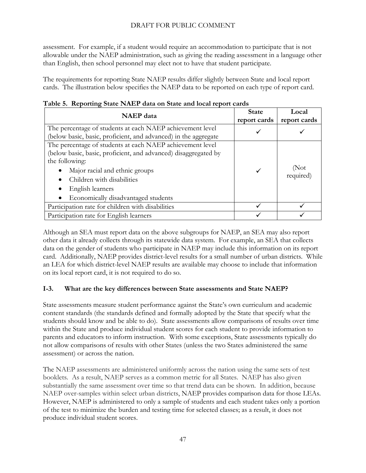assessment. For example, if a student would require an accommodation to participate that is not allowable under the NAEP administration, such as giving the reading assessment in a language other than English, then school personnel may elect not to have that student participate.

The requirements for reporting State NAEP results differ slightly between State and local report cards. The illustration below specifies the NAEP data to be reported on each type of report card.

| <b>NAEP</b> data                                                                                                                                                                                                                                                                       | <b>State</b><br>report cards | Local<br>report cards |
|----------------------------------------------------------------------------------------------------------------------------------------------------------------------------------------------------------------------------------------------------------------------------------------|------------------------------|-----------------------|
| The percentage of students at each NAEP achievement level<br>(below basic, basic, proficient, and advanced) in the aggregate                                                                                                                                                           |                              |                       |
| The percentage of students at each NAEP achievement level<br>(below basic, basic, proficient, and advanced) disaggregated by<br>the following:<br>Major racial and ethnic groups<br>Children with disabilities<br>English learners<br>Economically disadvantaged students<br>$\bullet$ |                              | (Not<br>required)     |
| Participation rate for children with disabilities                                                                                                                                                                                                                                      |                              |                       |
| Participation rate for English learners                                                                                                                                                                                                                                                |                              |                       |

|  | Table 5. Reporting State NAEP data on State and local report cards |  |  |
|--|--------------------------------------------------------------------|--|--|
|  |                                                                    |  |  |

Although an SEA must report data on the above subgroups for NAEP, an SEA may also report other data it already collects through its statewide data system. For example, an SEA that collects data on the gender of students who participate in NAEP may include this information on its report card. Additionally, NAEP provides district-level results for a small number of urban districts. While an LEA for which district-level NAEP results are available may choose to include that information on its local report card, it is not required to do so.

#### <span id="page-46-0"></span>**I-3. What are the key differences between State assessments and State NAEP?**

State assessments measure student performance against the State's own curriculum and academic content standards (the standards defined and formally adopted by the State that specify what the students should know and be able to do). State assessments allow comparisons of results over time within the State and produce individual student scores for each student to provide information to parents and educators to inform instruction. With some exceptions, State assessments typically do not allow comparisons of results with other States (unless the two States administered the same assessment) or across the nation.

The NAEP assessments are administered uniformly across the nation using the same sets of test booklets. As a result, NAEP serves as a common metric for all States. NAEP has also given substantially the same assessment over time so that trend data can be shown. In addition, because NAEP over-samples within select urban districts, NAEP provides comparison data for those LEAs. However, NAEP is administered to only a sample of students and each student takes only a portion of the test to minimize the burden and testing time for selected classes; as a result, it does not produce individual student scores.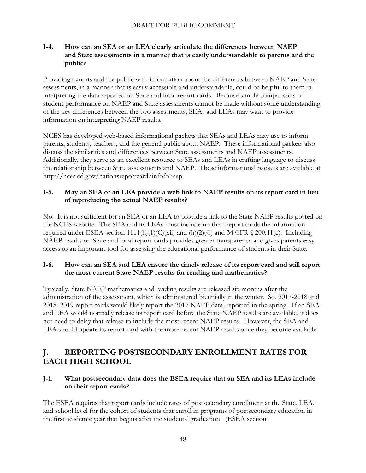#### <span id="page-47-0"></span>**I-4. How can an SEA or an LEA clearly articulate the differences between NAEP and State assessments in a manner that is easily understandable to parents and the public?**

Providing parents and the public with information about the differences between NAEP and State assessments, in a manner that is easily accessible and understandable, could be helpful to them in interpreting the data reported on State and local report cards. Because simple comparisons of student performance on NAEP and State assessments cannot be made without some understanding of the key differences between the two assessments, SEAs and LEAs may want to provide information on interpreting NAEP results.

NCES has developed web-based informational packets that SEAs and LEAs may use to inform parents, students, teachers, and the general public about NAEP. These informational packets also discuss the similarities and differences between State assessments and NAEP assessments. Additionally, they serve as an excellent resource to SEAs and LEAs in crafting language to discuss the relationship between State assessments and NAEP. These informational packets are available at [http://nces.ed.gov/nationsreportcard/infofor.asp.](http://nces.ed.gov/nationsreportcard/infofor.asp)

#### <span id="page-47-1"></span>**I-5. May an SEA or an LEA provide a web link to NAEP results on its report card in lieu of reproducing the actual NAEP results?**

No. It is not sufficient for an SEA or an LEA to provide a link to the State NAEP results posted on the NCES website. The SEA and its LEAs must include on their report cards the information required under ESEA section  $1111(h)(1)(C)(xii)$  and  $(h)(2)(C)$  and 34 CFR § 200.11(c). Including NAEP results on State and local report cards provides greater transparency and gives parents easy access to an important tool for assessing the educational performance of students in their State.

#### <span id="page-47-2"></span>**I-6. How can an SEA and LEA ensure the timely release of its report card and still report the most current State NAEP results for reading and mathematics?**

Typically, State NAEP mathematics and reading results are released six months after the administration of the assessment, which is administered biennially in the winter. So, 2017-2018 and 2018–2019 report cards would likely report the 2017 NAEP data, reported in the spring. If an SEA and LEA would normally release its report card before the State NAEP results are available, it does not need to delay that release to include the most recent NAEP results. However, the SEA and LEA should update its report card with the more recent NAEP results once they become available.

# <span id="page-47-3"></span>**J. REPORTING POSTSECONDARY ENROLLMENT RATES FOR EACH HIGH SCHOOL**

#### <span id="page-47-4"></span>**J-1. What postsecondary data does the ESEA require that an SEA and its LEAs include on their report cards?**

The ESEA requires that report cards include rates of postsecondary enrollment at the State, LEA, and school level for the cohort of students that enroll in programs of postsecondary education in the first academic year that begins after the students' graduation. (ESEA section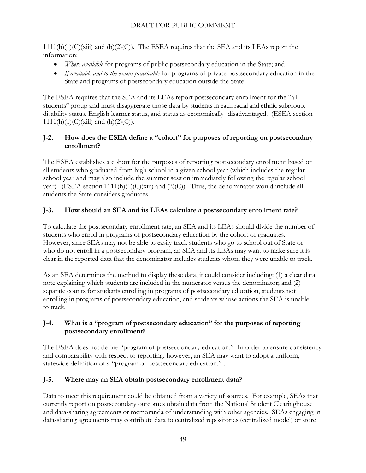$1111(h)(1)(C)(xiii)$  and  $(h)(2)(C)$ . The ESEA requires that the SEA and its LEAs report the information:

- *Where available* for programs of public postsecondary education in the State; and
- *If available and to the extent practicable* for programs of private postsecondary education in the State and programs of postsecondary education outside the State.

The ESEA requires that the SEA and its LEAs report postsecondary enrollment for the "all students" group and must disaggregate those data by students in each racial and ethnic subgroup, disability status, English learner status, and status as economically disadvantaged. (ESEA section  $1111(h)(1)(C)(xiii)$  and  $(h)(2)(C)$ .

## <span id="page-48-0"></span>**J-2. How does the ESEA define a "cohort" for purposes of reporting on postsecondary enrollment?**

The ESEA establishes a cohort for the purposes of reporting postsecondary enrollment based on all students who graduated from high school in a given school year (which includes the regular school year and may also include the summer session immediately following the regular school year). (ESEA section  $1111(h)(1)(C)(xiii)$  and  $(2)(C)$ ). Thus, the denominator would include all students the State considers graduates.

## <span id="page-48-1"></span>**J-3. How should an SEA and its LEAs calculate a postsecondary enrollment rate?**

To calculate the postsecondary enrollment rate, an SEA and its LEAs should divide the number of students who enroll in programs of postsecondary education by the cohort of graduates. However, since SEAs may not be able to easily track students who go to school out of State or who do not enroll in a postsecondary program, an SEA and its LEAs may want to make sure it is clear in the reported data that the denominator includes students whom they were unable to track.

As an SEA determines the method to display these data, it could consider including: (1) a clear data note explaining which students are included in the numerator versus the denominator; and (2) separate counts for students enrolling in programs of postsecondary education, students not enrolling in programs of postsecondary education, and students whose actions the SEA is unable to track.

## <span id="page-48-2"></span>**J-4. What is a "program of postsecondary education" for the purposes of reporting postsecondary enrollment?**

The ESEA does not define "program of postsecdondary education." In order to ensure consistency and comparability with respect to reporting, however, an SEA may want to adopt a uniform, statewide definition of a "program of postsecondary education." .

## <span id="page-48-3"></span>**J-5. Where may an SEA obtain postsecondary enrollment data?**

Data to meet this requirement could be obtained from a variety of sources. For example, SEAs that currently report on postsecondary outcomes obtain data from the National Student Clearinghouse and data-sharing agreements or memoranda of understanding with other agencies. SEAs engaging in data-sharing agreements may contribute data to centralized repositories (centralized model) or store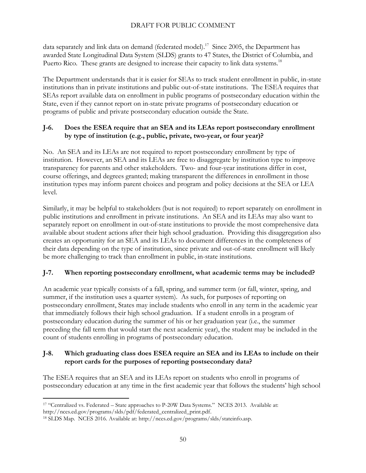data separately and link data on demand (federated model).<sup>17</sup> Since 2005, the Department has awarded State Longitudinal Data System (SLDS) grants to 47 States, the District of Columbia, and Puerto Rico. These grants are designed to increase their capacity to link data systems.<sup>18</sup>

The Department understands that it is easier for SEAs to track student enrollment in public, in-state institutions than in private institutions and public out-of-state institutions. The ESEA requires that SEAs report available data on enrollment in public programs of postsecondary education within the State, even if they cannot report on in-state private programs of postsecondary education or programs of public and private postsecondary education outside the State.

#### <span id="page-49-0"></span>**J-6. Does the ESEA require that an SEA and its LEAs report postsecondary enrollment by type of institution (e.g., public, private, two-year, or four year)?**

No. An SEA and its LEAs are not required to report postsecondary enrollment by type of institution. However, an SEA and its LEAs are free to disaggregate by institution type to improve transparency for parents and other stakeholders. Two- and four-year institutions differ in cost, course offerings, and degrees granted; making transparent the differences in enrollment in those institution types may inform parent choices and program and policy decisions at the SEA or LEA level.

Similarly, it may be helpful to stakeholders (but is not required) to report separately on enrollment in public institutions and enrollment in private institutions. An SEA and its LEAs may also want to separately report on enrollment in out-of-state institutions to provide the most comprehensive data available about student actions after their high school graduation. Providing this disaggregation also creates an opportunity for an SEA and its LEAs to document differences in the completeness of their data depending on the type of institution, since private and out-of-state enrollment will likely be more challenging to track than enrollment in public, in-state institutions.

## <span id="page-49-1"></span>**J-7. When reporting postsecondary enrollment, what academic terms may be included?**

An academic year typically consists of a fall, spring, and summer term (or fall, winter, spring, and summer, if the institution uses a quarter system). As such, for purposes of reporting on postsecondary enrollment, States may include students who enroll in any term in the academic year that immediately follows their high school graduation. If a student enrolls in a program of postsecondary education during the summer of his or her graduation year (i.e., the summer preceding the fall term that would start the next academic year), the student may be included in the count of students enrolling in programs of postsecondary education.

#### <span id="page-49-2"></span>**J-8. Which graduating class does ESEA require an SEA and its LEAs to include on their report cards for the purposes of reporting postsecondary data?**

The ESEA requires that an SEA and its LEAs report on students who enroll in programs of postsecondary education at any time in the first academic year that follows the students' high school

 $\overline{a}$ <sup>17</sup> "Centralized vs. Federated – State approaches to P-20W Data Systems." NCES 2013. Available at:

http://nces.ed.gov/programs/slds/pdf/federated\_centralized\_print.pdf.

<sup>18</sup> SLDS Map. NCES 2016. Available at: http://nces.ed.gov/programs/slds/stateinfo.asp.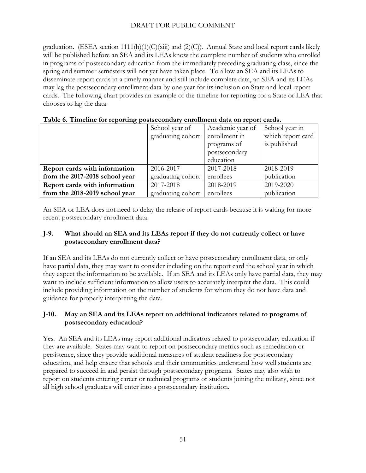graduation. (ESEA section 1111(h)(1)(C)(xiii) and (2)(C)). Annual State and local report cards likely will be published before an SEA and its LEAs know the complete number of students who enrolled in programs of postsecondary education from the immediately preceding graduating class, since the spring and summer semesters will not yet have taken place. To allow an SEA and its LEAs to disseminate report cards in a timely manner and still include complete data, an SEA and its LEAs may lag the postsecondary enrollment data by one year for its inclusion on State and local report cards. The following chart provides an example of the timeline for reporting for a State or LEA that chooses to lag the data.

|                                | School year of    | Academic year of | School year in    |  |  |  |  |  |  |  |
|--------------------------------|-------------------|------------------|-------------------|--|--|--|--|--|--|--|
|                                | graduating cohort | enrollment in    | which report card |  |  |  |  |  |  |  |
|                                |                   | programs of      | is published      |  |  |  |  |  |  |  |
|                                |                   | postsecondary    |                   |  |  |  |  |  |  |  |
|                                |                   | education        |                   |  |  |  |  |  |  |  |
| Report cards with information  | 2016-2017         | 2017-2018        | 2018-2019         |  |  |  |  |  |  |  |
| from the 2017-2018 school year | graduating cohort | enrollees        | publication       |  |  |  |  |  |  |  |
| Report cards with information  | 2017-2018         | 2018-2019        | 2019-2020         |  |  |  |  |  |  |  |
| from the 2018-2019 school year | graduating cohort | enrollees        | publication       |  |  |  |  |  |  |  |

|  |  |  | Table 6. Timeline for reporting postsecondary enrollment data on report cards. |
|--|--|--|--------------------------------------------------------------------------------|
|  |  |  |                                                                                |

An SEA or LEA does not need to delay the release of report cards because it is waiting for more recent postsecondary enrollment data.

#### <span id="page-50-0"></span>**J-9. What should an SEA and its LEAs report if they do not currently collect or have postsecondary enrollment data?**

If an SEA and its LEAs do not currently collect or have postsecondary enrollment data, or only have partial data, they may want to consider including on the report card the school year in which they expect the information to be available. If an SEA and its LEAs only have partial data, they may want to include sufficient information to allow users to accurately interpret the data. This could include providing information on the number of students for whom they do not have data and guidance for properly interpreting the data.

#### <span id="page-50-1"></span>**J-10. May an SEA and its LEAs report on additional indicators related to programs of postsecondary education?**

Yes. An SEA and its LEAs may report additional indicators related to postsecondary education if they are available. States may want to report on postsecondary metrics such as remediation or persistence, since they provide additional measures of student readiness for postsecondary education, and help ensure that schools and their communities understand how well students are prepared to succeed in and persist through postsecondary programs. States may also wish to report on students entering career or technical programs or students joining the military, since not all high school graduates will enter into a postsecondary institution.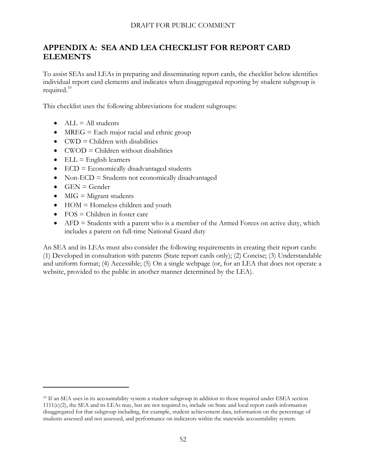# <span id="page-51-0"></span>**APPENDIX A: SEA AND LEA CHECKLIST FOR REPORT CARD ELEMENTS**

To assist SEAs and LEAs in preparing and disseminating report cards, the checklist below identifies individual report card elements and indicates when disaggregated reporting by student subgroup is required. 19

This checklist uses the following abbreviations for student subgroups:

- $ALL = All students$
- $\bullet$  MREG = Each major racial and ethnic group
- $\bullet$  CWD = Children with disabilities
- $\bullet$  CWOD = Children without disabilities
- $\bullet$  ELL = English learners
- $\bullet$  ECD = Economically disadvantaged students
- Non-ECD = Students not economically disadvantaged
- $\bullet$  GEN = Gender

 $\overline{a}$ 

- $\bullet$  MIG = Migrant students
- $\bullet$  HOM = Homeless children and youth
- $\bullet$  FOS = Children in foster care
- $\bullet$  AFD = Students with a parent who is a member of the Armed Forces on active duty, which includes a parent on full-time National Guard duty

An SEA and its LEAs must also consider the following requirements in creating their report cards: (1) Developed in consultation with parents (State report cards only); (2) Concise; (3) Understandable and uniform format; (4) Accessible; (5) On a single webpage (or, for an LEA that does not operate a website, provided to the public in another manner determined by the LEA).

<sup>&</sup>lt;sup>19</sup> If an SEA uses in its accountability system a student subgroup in addition to those required under ESEA section  $1111(c)(2)$ , the SEA and its LEAs may, but are not required to, include on State and local report cards information disaggregated for that subgroup including, for example, student achievement data, information on the percentage of students assessed and not assessed, and performance on indicators within the statewide accountability system.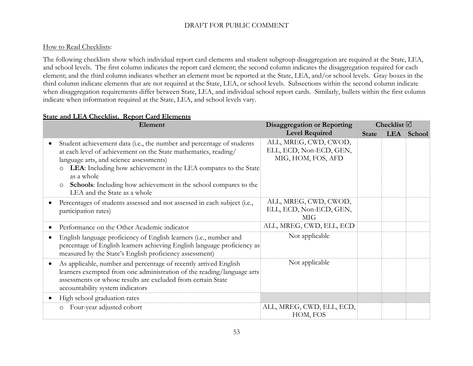#### How to Read Checklists:

The following checklists show which individual report card elements and student subgroup disaggregation are required at the State, LEA, and school levels. The first column indicates the report card element; the second column indicates the disaggregation required for each element; and the third column indicates whether an element must be reported at the State, LEA, and/or school levels. Gray boxes in the third column indicate elements that are not required at the State, LEA, or school levels. Subsections within the second column indicate when disaggregation requirements differ between State, LEA, and individual school report cards. Similarly, bullets within the first column indicate when information required at the State, LEA, and school levels vary.

#### **State and LEA Checklist. Report Card Elements**

|           | Element                                                                                                                                                                                                                                                                                                                                                                                               | <b>Disaggregation or Reporting</b>                                     |              | Checklist $\boxtimes$ |            |
|-----------|-------------------------------------------------------------------------------------------------------------------------------------------------------------------------------------------------------------------------------------------------------------------------------------------------------------------------------------------------------------------------------------------------------|------------------------------------------------------------------------|--------------|-----------------------|------------|
|           |                                                                                                                                                                                                                                                                                                                                                                                                       | <b>Level Required</b>                                                  | <b>State</b> |                       | LEA School |
|           | Student achievement data (i.e., the number and percentage of students<br>at each level of achievement on the State mathematics, reading/<br>language arts, and science assessments)<br>LEA: Including how achievement in the LEA compares to the State<br>$\circ$<br>as a whole<br><b>Schools:</b> Including how achievement in the school compares to the<br>$\circ$<br>LEA and the State as a whole | ALL, MREG, CWD, CWOD,<br>ELL, ECD, Non-ECD, GEN,<br>MIG, HOM, FOS, AFD |              |                       |            |
|           | Percentages of students assessed and not assessed in each subject (i.e.,<br>participation rates)                                                                                                                                                                                                                                                                                                      | ALL, MREG, CWD, CWOD,<br>ELL, ECD, Non-ECD, GEN,<br><b>MIG</b>         |              |                       |            |
|           | Performance on the Other Academic indicator                                                                                                                                                                                                                                                                                                                                                           | ALL, MREG, CWD, ELL, ECD                                               |              |                       |            |
| $\bullet$ | English language proficiency of English learners (i.e., number and<br>percentage of English learners achieving English language proficiency as<br>measured by the State's English proficiency assessment)                                                                                                                                                                                             | Not applicable                                                         |              |                       |            |
| $\bullet$ | As applicable, number and percentage of recently arrived English<br>learners exempted from one administration of the reading/language arts<br>assessments or whose results are excluded from certain State<br>accountability system indicators                                                                                                                                                        | Not applicable                                                         |              |                       |            |
|           | High school graduation rates                                                                                                                                                                                                                                                                                                                                                                          |                                                                        |              |                       |            |
|           | Four-year adjusted cohort<br>$\circ$                                                                                                                                                                                                                                                                                                                                                                  | ALL, MREG, CWD, ELL, ECD,<br>HOM, FOS                                  |              |                       |            |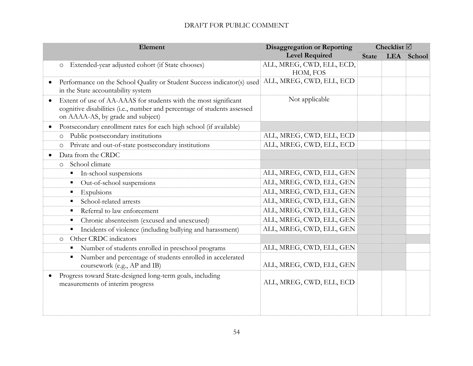| Element                                                                                                                                                                                       | <b>Disaggregation or Reporting</b> | Checklist $\boxtimes$ |  |            |  |
|-----------------------------------------------------------------------------------------------------------------------------------------------------------------------------------------------|------------------------------------|-----------------------|--|------------|--|
|                                                                                                                                                                                               | <b>Level Required</b>              | <b>State</b>          |  | LEA School |  |
| Extended-year adjusted cohort (if State chooses)<br>$\circ$                                                                                                                                   | ALL, MREG, CWD, ELL, ECD,          |                       |  |            |  |
|                                                                                                                                                                                               | HOM, FOS                           |                       |  |            |  |
| Performance on the School Quality or Student Success indicator(s) used<br>in the State accountability system                                                                                  | ALL, MREG, CWD, ELL, ECD           |                       |  |            |  |
| Extent of use of AA-AAAS for students with the most significant<br>$\bullet$<br>cognitive disabilities (i.e., number and percentage of students assessed<br>on AAAA-AS, by grade and subject) | Not applicable                     |                       |  |            |  |
| Postsecondary enrollment rates for each high school (if available)                                                                                                                            |                                    |                       |  |            |  |
| Public postsecondary institutions<br>$\circ$                                                                                                                                                  | ALL, MREG, CWD, ELL, ECD           |                       |  |            |  |
| Private and out-of-state postsecondary institutions<br>$\circ$                                                                                                                                | ALL, MREG, CWD, ELL, ECD           |                       |  |            |  |
| Data from the CRDC                                                                                                                                                                            |                                    |                       |  |            |  |
| School climate<br>$\circ$                                                                                                                                                                     |                                    |                       |  |            |  |
| In-school suspensions                                                                                                                                                                         | ALL, MREG, CWD, ELL, GEN           |                       |  |            |  |
| Out-of-school suspensions                                                                                                                                                                     | ALL, MREG, CWD, ELL, GEN           |                       |  |            |  |
| Expulsions                                                                                                                                                                                    | ALL, MREG, CWD, ELL, GEN           |                       |  |            |  |
| School-related arrests                                                                                                                                                                        | ALL, MREG, CWD, ELL, GEN           |                       |  |            |  |
| Referral to law enforcement<br>п                                                                                                                                                              | ALL, MREG, CWD, ELL, GEN           |                       |  |            |  |
| Chronic absenteeism (excused and unexcused)                                                                                                                                                   | ALL, MREG, CWD, ELL, GEN           |                       |  |            |  |
| Incidents of violence (including bullying and harassment)                                                                                                                                     | ALL, MREG, CWD, ELL, GEN           |                       |  |            |  |
| Other CRDC indicators<br>$\circ$                                                                                                                                                              |                                    |                       |  |            |  |
| Number of students enrolled in preschool programs<br>п                                                                                                                                        | ALL, MREG, CWD, ELL, GEN           |                       |  |            |  |
| Number and percentage of students enrolled in accelerated<br>coursework (e.g., AP and IB)                                                                                                     | ALL, MREG, CWD, ELL, GEN           |                       |  |            |  |
| Progress toward State-designed long-term goals, including<br>measurements of interim progress                                                                                                 | ALL, MREG, CWD, ELL, ECD           |                       |  |            |  |
|                                                                                                                                                                                               |                                    |                       |  |            |  |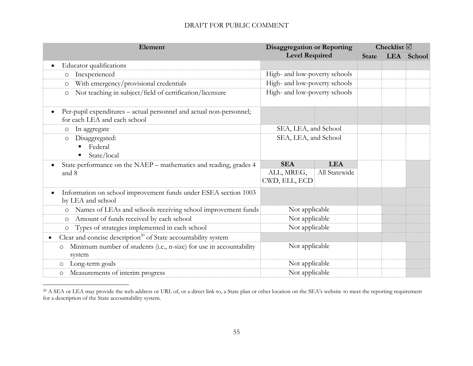| Element                                                                                                          | <b>Disaggregation or Reporting</b> |               | Checklist $\boxtimes$ |  |            |  |
|------------------------------------------------------------------------------------------------------------------|------------------------------------|---------------|-----------------------|--|------------|--|
|                                                                                                                  | <b>Level Required</b>              |               | <b>State</b>          |  | LEA School |  |
| Educator qualifications<br>$\bullet$                                                                             |                                    |               |                       |  |            |  |
| Inexperienced<br>$\circ$                                                                                         | High- and low-poverty schools      |               |                       |  |            |  |
| With emergency/provisional credentials<br>$\circ$                                                                | High- and low-poverty schools      |               |                       |  |            |  |
| Not teaching in subject/field of certification/licensure<br>O                                                    | High- and low-poverty schools      |               |                       |  |            |  |
| Per-pupil expenditures – actual personnel and actual non-personnel;<br>$\bullet$<br>for each LEA and each school |                                    |               |                       |  |            |  |
| In aggregate<br>$\circ$                                                                                          | SEA, LEA, and School               |               |                       |  |            |  |
| Disaggregated:<br>$\circ$                                                                                        | SEA, LEA, and School               |               |                       |  |            |  |
| Federal<br>٠                                                                                                     |                                    |               |                       |  |            |  |
| State/local<br>٠                                                                                                 |                                    |               |                       |  |            |  |
| State performance on the NAEP – mathematics and reading, grades 4                                                | <b>SEA</b>                         | <b>LEA</b>    |                       |  |            |  |
| and 8                                                                                                            | ALL, MREG,                         | All Statewide |                       |  |            |  |
|                                                                                                                  | CWD, ELL, ECD                      |               |                       |  |            |  |
| Information on school improvement funds under ESEA section 1003                                                  |                                    |               |                       |  |            |  |
| by LEA and school                                                                                                |                                    |               |                       |  |            |  |
| Names of LEAs and schools receiving school improvement funds<br>$\circ$                                          | Not applicable                     |               |                       |  |            |  |
| Amount of funds received by each school<br>$\circ$                                                               | Not applicable                     |               |                       |  |            |  |
| Types of strategies implemented in each school<br>$\circ$                                                        | Not applicable                     |               |                       |  |            |  |
| Clear and concise description <sup>20</sup> of State accountability system<br>$\bullet$                          |                                    |               |                       |  |            |  |
| Minimum number of students (i.e., n-size) for use in accountability<br>O<br>system                               | Not applicable                     |               |                       |  |            |  |
| Long-term goals<br>$\circ$                                                                                       | Not applicable                     |               |                       |  |            |  |
| Measurements of interim progress<br>$\circ$                                                                      | Not applicable                     |               |                       |  |            |  |

 $^{20}$  A SEA or LEA may provide the web address or URL of, or a direct link to, a State plan or other location on the SEA's website to meet the reporting requirement for a description of the State accountability system.

 $\overline{a}$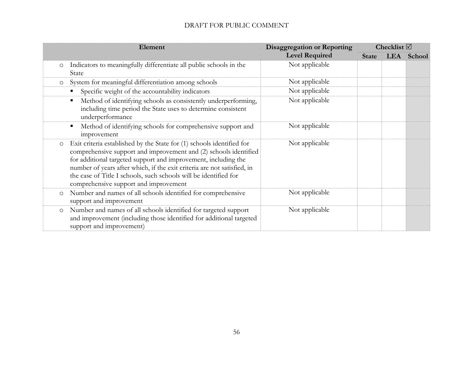| Element                                                                                                                                                                                                                                                                                                                                                                                                        | <b>Disaggregation or Reporting</b> | Checklist $\boxtimes$ |  |            |
|----------------------------------------------------------------------------------------------------------------------------------------------------------------------------------------------------------------------------------------------------------------------------------------------------------------------------------------------------------------------------------------------------------------|------------------------------------|-----------------------|--|------------|
|                                                                                                                                                                                                                                                                                                                                                                                                                | <b>Level Required</b>              | <b>State</b>          |  | LEA School |
| Indicators to meaningfully differentiate all public schools in the<br>$\circ$<br>State                                                                                                                                                                                                                                                                                                                         | Not applicable                     |                       |  |            |
| System for meaningful differentiation among schools<br>$\circ$                                                                                                                                                                                                                                                                                                                                                 | Not applicable                     |                       |  |            |
| Specific weight of the accountability indicators                                                                                                                                                                                                                                                                                                                                                               | Not applicable                     |                       |  |            |
| Method of identifying schools as consistently underperforming,<br>including time period the State uses to determine consistent<br>underperformance                                                                                                                                                                                                                                                             | Not applicable                     |                       |  |            |
| Method of identifying schools for comprehensive support and<br>improvement                                                                                                                                                                                                                                                                                                                                     | Not applicable                     |                       |  |            |
| Exit criteria established by the State for (1) schools identified for<br>$\circ$<br>comprehensive support and improvement and (2) schools identified<br>for additional targeted support and improvement, including the<br>number of years after which, if the exit criteria are not satisfied, in<br>the case of Title I schools, such schools will be identified for<br>comprehensive support and improvement | Not applicable                     |                       |  |            |
| Number and names of all schools identified for comprehensive<br>$\circ$<br>support and improvement                                                                                                                                                                                                                                                                                                             | Not applicable                     |                       |  |            |
| Number and names of all schools identified for targeted support<br>$\circ$<br>and improvement (including those identified for additional targeted<br>support and improvement)                                                                                                                                                                                                                                  | Not applicable                     |                       |  |            |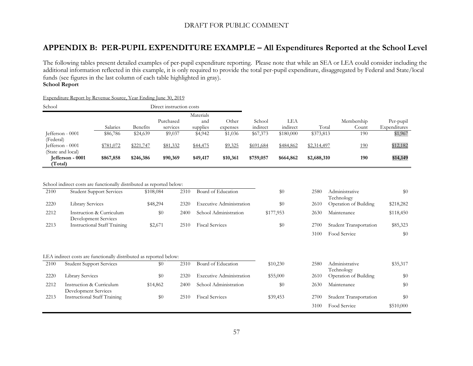## **APPENDIX B: PER-PUPIL EXPENDITURE EXAMPLE – All Expenditures Reported at the School Level**

The following tables present detailed examples of per-pupil expenditure reporting. Please note that while an SEA or LEA could consider including the additional information reflected in this example, it is only required to provide the total per-pupil expenditure, disaggregated by Federal and State/local funds (see figures in the last column of each table highlighted in gray). **School Report**

<span id="page-56-0"></span>

| School                                |                         |                                                                                                          |           | Direct instruction costs |                       |                                 |                    |                 |             |                                     |                           |
|---------------------------------------|-------------------------|----------------------------------------------------------------------------------------------------------|-----------|--------------------------|-----------------------|---------------------------------|--------------------|-----------------|-------------|-------------------------------------|---------------------------|
|                                       |                         | Salaries                                                                                                 | Benefits  | Purchased<br>services    | Materials<br>supplies | Other<br>and<br>expenses        | School<br>indirect | LEA<br>indirect | Total       | Membership<br>Count                 | Per-pupil<br>Expenditures |
| Jefferson - 0001<br>(Federal)         |                         | \$86,786                                                                                                 | \$24,639  | \$9,037                  | \$4,942               | \$1,036                         | \$67,373           | \$180,000       | \$373,813   | 190                                 | \$1,967                   |
| Jefferson - 0001<br>(State and local) |                         | \$781,072                                                                                                | \$221,747 | \$81,332                 | \$44,475              | \$9,325                         | \$691,684          | \$484,862       | \$2,314,497 | <u>190</u>                          | \$12,182                  |
| Jefferson - 0001<br>(Total)           |                         | \$867,858                                                                                                | \$246,386 | \$90,369                 | \$49,417              | \$10,361                        | \$759,057          | \$664,862       | \$2,688,310 | 190                                 | \$14,149                  |
| 2100                                  |                         | School indirect costs are functionally distributed as reported below:<br><b>Student Support Services</b> |           | \$108,084                | 2310                  | Board of Education              |                    | \$0             | 2580        | Administrative                      | \$0                       |
| 2220                                  | <b>Library Services</b> |                                                                                                          |           | \$48,294                 | 2320                  | <b>Executive Administration</b> |                    | \$0             | 2610        | Technology<br>Operation of Building | \$218,282                 |
| 2212                                  | Development Services    | Instruction & Curriculum                                                                                 |           | \$0                      | 2400                  | School Administration           |                    | \$177,953       | 2630        | Maintenance                         | \$118,450                 |
| 2213                                  |                         | <b>Instructional Staff Training</b>                                                                      |           | \$2,671                  | 2510                  | <b>Fiscal Services</b>          |                    | \$0             | 2700        | Student Transportation              | \$85,323                  |
|                                       |                         |                                                                                                          |           |                          |                       |                                 |                    |                 | 3100        | Food Service                        | \$0                       |
|                                       |                         |                                                                                                          |           |                          |                       |                                 |                    |                 |             |                                     |                           |

Expenditure Report by Revenue Source, Year Ending June 30, 2019

|  |  |  | LEA indirect costs are functionally distributed as reported below: |  |
|--|--|--|--------------------------------------------------------------------|--|
|  |  |  |                                                                    |  |

| 2100 | <b>Student Support Services</b>                  | \$0      | 2310 | Board of Education              | \$10,230 | 2580 | Administrative<br>Technology  | \$35,317  |
|------|--------------------------------------------------|----------|------|---------------------------------|----------|------|-------------------------------|-----------|
| 2220 | <b>Library Services</b>                          | \$0      | 2320 | <b>Executive Administration</b> | \$55,000 | 2610 | Operation of Building         | \$0       |
| 2212 | Instruction & Curriculum<br>Development Services | \$14,862 | 2400 | School Administration           | \$0      | 2630 | Maintenance                   | \$0       |
| 2213 | <b>Instructional Staff Training</b>              | \$0      | 2510 | <b>Fiscal Services</b>          | \$39,453 | 2700 | <b>Student Transportation</b> | \$0       |
|      |                                                  |          |      |                                 |          | 3100 | Food Service                  | \$510,000 |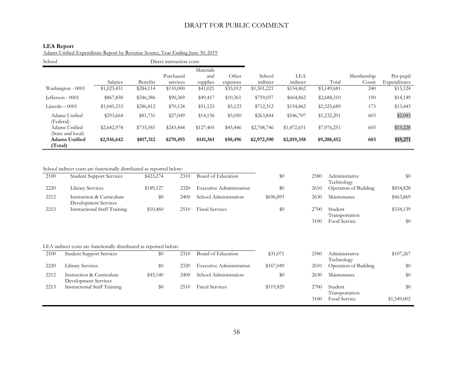#### **LEA Report**

Adams Unified Expenditure Report by Revenue Source, Year Ending June 30, 2019

| School                             | Direct instruction costs |                 |           |           |          |             |             |             |            |              |
|------------------------------------|--------------------------|-----------------|-----------|-----------|----------|-------------|-------------|-------------|------------|--------------|
|                                    |                          |                 |           | Materials |          |             |             |             |            |              |
|                                    |                          |                 | Purchased | and       | Other    | School      | LEA         |             | Membership | Per-pupil    |
|                                    | Salaries                 | <b>Benefits</b> | services  | supplies  | expenses | indirect    | indirect    | Total       | Count      | Expenditures |
| Washington - 0001                  | \$1,023,451              | \$284,114       | \$110,000 | \$41,021  | \$35,012 | \$1,501,221 | \$154,862   | \$3,149,681 | 240        | \$13,124     |
| Jefferson - 0001                   | \$867,858                | \$246,386       | \$90,369  | \$49,417  | \$10,361 | \$759,057   | \$664,862   | \$2,688,310 | 190        | \$14,149     |
| $Lincoh-0001$                      | \$1,045,333              | \$286,812       | \$70,124  | \$51,123  | \$5,123  | \$712,312   | \$154,862   | \$2,325,689 | 173        | \$13,443     |
| Adams Unified<br>(Federal)         | \$293,664                | \$81,731        | \$27,049  | \$14,156  | \$5,050  | \$263,844   | \$546,707   | \$1,232,201 | 603        | \$2,043      |
| Adams Unified<br>(State and local) | \$2,642,978              | \$735,581       | \$243,444 | \$127,405 | \$45,446 | \$2,708,746 | \$1,472,651 | \$7,976,251 | 603        | \$13,228     |
| <b>Adams Unified</b><br>(Total)    | \$2,936,642              | \$817,312       | \$270,493 | \$141,561 | \$50,496 | \$2,972,590 | \$2,019,358 | \$9,208,452 | 603        | \$15,271     |

School indirect costs are functionally distributed as reported below:

| 2100 | <b>Student Support Services</b>                  | \$423,274 | 2310 | Board of Education              | $\$0$     | 2580 | Administrative<br>Technology | \$0       |
|------|--------------------------------------------------|-----------|------|---------------------------------|-----------|------|------------------------------|-----------|
| 2220 | <b>Library Services</b>                          | \$189,127 | 2320 | <b>Executive Administration</b> | \$0       | 2610 | <b>Operation of Building</b> | \$854,828 |
| 2212 | Instruction & Curriculum<br>Development Services | \$0       | 2400 | School Administration           | \$696,893 | 2630 | Maintenance                  | \$463,869 |
| 2213 | <b>Instructional Staff Training</b>              | \$10,460  | 2510 | <b>Fiscal Services</b>          | \$0       | 2700 | Student<br>Transportation    | \$334,139 |

| 2580 | Administrative                      | \$0       |
|------|-------------------------------------|-----------|
| 2610 | Technology<br>Operation of Building | \$854,828 |
| 2630 | Maintenance                         | \$463,869 |
| 2700 | Student<br>Transportation           | \$334,139 |
| 3100 | Food Service                        |           |

| LEA indirect costs are functionally distributed as reported below: |  |
|--------------------------------------------------------------------|--|
|--------------------------------------------------------------------|--|

| 2100 | <b>Student Support Services</b>                  | \$0      | 2310 | Board of Education              | \$31,071  | 2580 | Administrative               | \$107,267   |
|------|--------------------------------------------------|----------|------|---------------------------------|-----------|------|------------------------------|-------------|
|      |                                                  |          |      |                                 |           |      | Technology                   |             |
| 2220 | <b>Library Services</b>                          | \$0      | 2320 | <b>Executive Administration</b> | \$167,049 | 2610 | <b>Operation of Building</b> | \$0         |
| 2212 | Instruction & Curriculum<br>Development Services | \$45,140 | 2400 | School Administration           | $\$0$     | 2630 | Maintenance                  | \$0         |
| 2213 | Instructional Staff Training                     | \$0      | 2510 | <b>Fiscal Services</b>          | \$119,829 | 2700 | Student<br>Transportation    | \$0         |
|      |                                                  |          |      |                                 |           | 3100 | <b>Food Service</b>          | \$1,549,002 |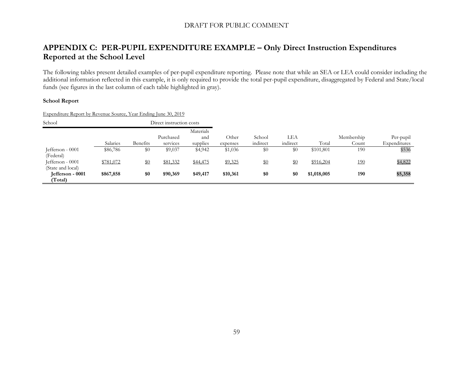## **APPENDIX C: PER-PUPIL EXPENDITURE EXAMPLE – Only Direct Instruction Expenditures Reported at the School Level**

The following tables present detailed examples of per-pupil expenditure reporting. Please note that while an SEA or LEA could consider including the additional information reflected in this example, it is only required to provide the total per-pupil expenditure, disaggregated by Federal and State/local funds (see figures in the last column of each table highlighted in gray).

#### **School Report**

Expenditure Report by Revenue Source, Year Ending June 30, 2019

<span id="page-58-0"></span>

| School<br>Direct instruction costs |           |                 |           |           |          |          |          |             |            |              |
|------------------------------------|-----------|-----------------|-----------|-----------|----------|----------|----------|-------------|------------|--------------|
|                                    |           |                 |           | Materials |          |          |          |             |            |              |
|                                    |           |                 | Purchased | and       | Other    | School   | LEA      |             | Membership | Per-pupil    |
|                                    | Salaries  | <b>Benefits</b> | services  | supplies  | expenses | indirect | indirect | Total       | Count      | Expenditures |
| Jefferson - 0001                   | \$86,786  | \$0             | \$9,037   | \$4,942   | \$1,036  | $\$0$    | \$0      | \$101,801   | 190        | \$536        |
| (Federal)                          |           |                 |           |           |          |          |          |             |            |              |
| Jefferson - 0001                   | \$781,072 | $\$0$           | \$81,332  | \$44,475  | \$9,325  | \$0      | \$0      | \$916,204   | <u>190</u> | \$4,822      |
| (State and local)                  |           |                 |           |           |          |          |          |             |            |              |
| Jefferson - 0001                   | \$867,858 | \$0             | \$90,369  | \$49,417  | \$10,361 | \$0      | \$0      | \$1,018,005 | 190        | \$5,358      |
| (Total)                            |           |                 |           |           |          |          |          |             |            |              |